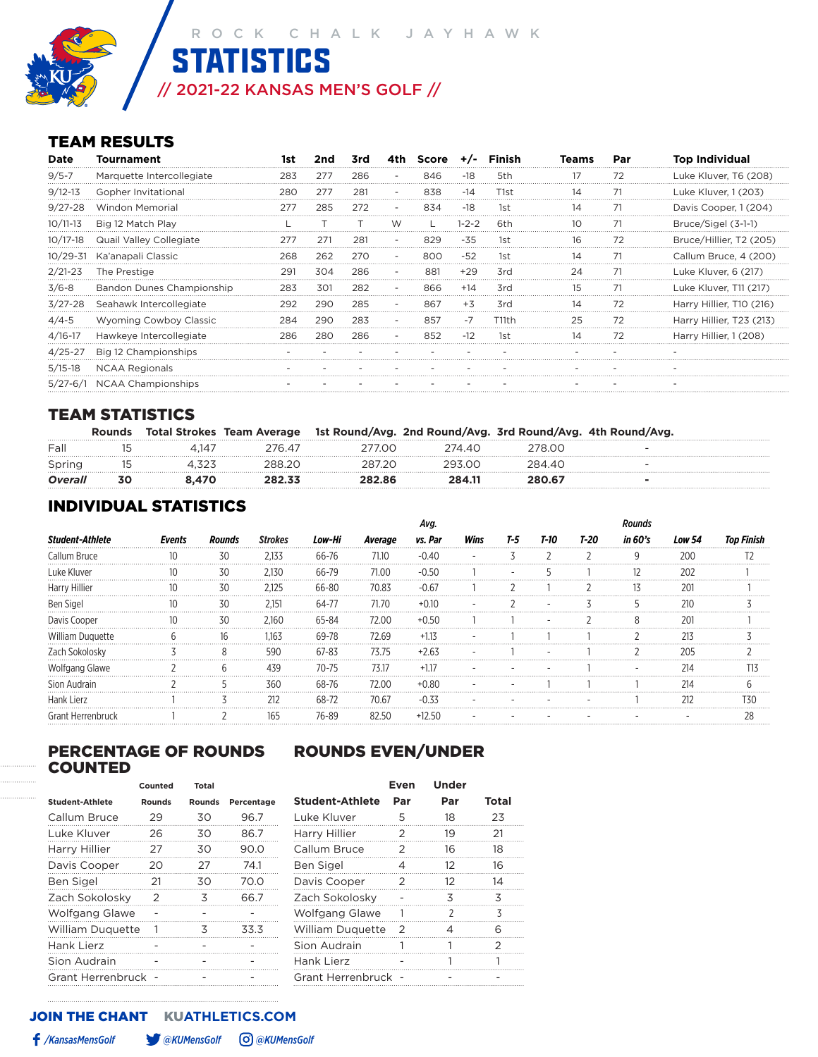**STATISTICS** 

// 2021-22 KANSAS MEN'S GOLF //

# TEAM RESULTS

| Date        | <b>Tournament</b>         |     |     | 3rd | 4th – | Score | $+/-$ | <b>Finish</b> |    | Par | <b>Top Individual</b>    |
|-------------|---------------------------|-----|-----|-----|-------|-------|-------|---------------|----|-----|--------------------------|
| $9/5 - 7$   | Marquette Intercollegiate | 283 | 277 | 286 |       | 846   | -18   | 5th           |    |     | Luke Kluver, T6 (208)    |
| $9/12 - 13$ | Gopher Invitational       | 280 | 277 | 281 |       | 838   | -14   | T1st          | 14 | 71  | Luke Kluver, 1 (203)     |
| $9/27 - 28$ | <b>Windon Memorial</b>    |     | 285 | 272 |       | 834   | -18   | 1st           | 14 |     | Davis Cooper, 1 (204)    |
| 10/11-13    | Big 12 Match Play         |     |     |     |       |       | 1-2-2 | 6th           |    | 71  | Bruce/Sigel (3-1-1)      |
| 10/17-18    | Quail Valley Collegiate   |     | 271 | 281 |       |       | -35   | lst           | 16 |     | Bruce/Hillier, T2 (205)  |
| 10/29-31    | Ka'anapali Classic        | 268 | 262 | 270 |       | റെ    | -52   | 1st           | 14 |     | Callum Bruce, 4 (200)    |
| $2/21 - 23$ | The Prestige              | 29. | 304 | 286 |       | 88    | +29   | 3rd           | 24 | 71  | Luke Kluver, 6 (217)     |
| $3/6 - 8$   | Bandon Dunes Championship | 283 | 301 | 282 |       | 866   | $+14$ | 3rd           |    |     | Luke Kluver, T11 (217)   |
| $3/27 - 28$ | Seahawk Intercollegiate   | 292 | 290 | 285 |       | 867   | $+3$  | 3rd           | 14 | 72  | Harry Hillier, T10 (216) |
| $4/4 - 5$   | Wyoming Cowboy Classic    | 284 | 290 | 283 |       | 857   | $-1$  | T11th         | 25 | 72  | Harry Hillier, T23 (213) |
| $4/16-17$   | Hawkeye Intercollegiate   | 286 | 280 | 286 |       | 852   | $-12$ | 1st           | 14 | 72  | Harry Hillier, 1 (208)   |
| 4/25-27     | Big 12 Championships      |     |     |     |       |       |       |               |    |     |                          |
| $5/15-18$   | <b>NCAA Regionals</b>     |     |     |     |       |       |       |               |    |     |                          |
| $5/27 - 6/$ | NCAA Championships        |     |     |     |       |       |       |               |    |     |                          |

# TEAM STATISTICS

|                |    |      | Total Strokes Team Average 1st Round/Avg. 2nd Round/Avg. 3rd Round/Avg. 4th Round/Avg. |        |        |  |
|----------------|----|------|----------------------------------------------------------------------------------------|--------|--------|--|
| Fall           |    | 4.14 | 700                                                                                    | 7440   |        |  |
| Spring         |    |      |                                                                                        | 293 NN | 284 AC |  |
| <b>Overall</b> | 30 |      | 282.86                                                                                 | 284.11 | 280 R7 |  |

# INDIVIDUAL STATISTICS

|                | Events | Rounds |                | Low-Hi | Average | vs. Par | Wins | T-5 | T-10 | T-20 | in 60's | Low 54 |  |
|----------------|--------|--------|----------------|--------|---------|---------|------|-----|------|------|---------|--------|--|
|                |        | 30     | 2133           | հհ-7հ  | 71.10   |         |      |     |      |      | q       | חי     |  |
|                |        | 30     | 130            | .      | 71 N.N  |         |      |     |      |      |         |        |  |
|                |        | 7٢     | '.125          |        |         |         |      |     |      |      |         |        |  |
|                |        | 30     | $2.15^{\circ}$ |        |         |         |      |     |      |      |         |        |  |
|                |        | 30     | .160           |        |         |         |      |     |      |      |         | 201    |  |
| Nilliam Duc    |        |        | .163           |        | ን 69    |         |      |     |      |      |         | 213    |  |
|                |        |        | 590            | 67-83  |         |         |      |     |      |      |         | ንበ5    |  |
| Voifgang Glawe |        |        | 439            | 70-75  | 7317    |         |      |     |      |      |         | 214    |  |
|                |        |        | 360            |        |         |         |      |     |      |      |         | 214    |  |
| Hank Lierz     |        |        | 212            |        | 70.67   |         |      |     |      |      |         | 212    |  |
|                |        |        |                |        |         |         |      |     |      |      |         |        |  |

### PERCENTAGE OF ROUNDS ROUNDS EVEN/UNDER COUNTED

|                         | Counted | Total         |            |
|-------------------------|---------|---------------|------------|
| <b>Student-Athlete</b>  | Rounds  | <b>Rounds</b> | Percentage |
| Callum Bruce            | 29      | 30            | 96.7       |
| Luke Kluver             | 26      | 30            | 86.7       |
| Harry Hillier           | 27      | 30            | 90.0       |
| Davis Cooper            | 20      | 27            | 74.1       |
| <b>Ben Sigel</b>        | 21      | 30            | 70.0       |
| Zach Sokolosky          | 2       | 3             | 66.7       |
| <b>Wolfgang Glawe</b>   |         |               |            |
| <b>William Duquette</b> |         | 3             | 33.3       |
| Hank Lierz              |         |               |            |
| Sion Audrain            |         |               |            |
| Grant Herrenbruck       |         |               |            |

|                         | Counted        | Total                    |            |                         | Even                     | <b>Under</b>   |               |  |
|-------------------------|----------------|--------------------------|------------|-------------------------|--------------------------|----------------|---------------|--|
| <b>Student-Athlete</b>  | <b>Rounds</b>  | <b>Rounds</b>            | Percentage | <b>Student-Athlete</b>  | Par                      | Par            | <b>Total</b>  |  |
| Callum Bruce            | 29             | 30                       | 96.7       | Luke Kluver             | 5                        | 18             | 23            |  |
| Luke Kluver             | 26             | 30                       | 86.7       | Harry Hillier           | 2                        | 19             | 21            |  |
| Harry Hillier           | 27             | 30                       | 90.0       | Callum Bruce            | 2                        | 16             | 18            |  |
| Davis Cooper            | 20             | 27                       | 74.1       | Ben Sigel               | 4                        | 12             | 16            |  |
| Ben Sigel               | 21             | 30                       | 70.O       | Davis Cooper            | $\mathcal{P}$            | 12             | 14            |  |
| Zach Sokolosky          | $\mathcal{P}$  | κ                        | 66.7       | Zach Sokolosky          | $\overline{\phantom{0}}$ | 3              | 3             |  |
| Wolfgang Glawe          | $\overline{a}$ |                          |            | Wolfgang Glawe          |                          |                | ζ             |  |
| <b>William Duquette</b> | $\overline{1}$ | 3                        | 33.3       | <b>William Duquette</b> | $\mathcal{L}$            | $\overline{4}$ | 6             |  |
| Hank Lierz              | $\sim$         |                          |            | Sion Audrain            | 1                        |                | $\mathcal{P}$ |  |
| Sion Audrain            | $\overline{a}$ |                          |            | Hank Lierz              | $\overline{\phantom{a}}$ |                |               |  |
| Grant Herrenbruck -     |                | $\overline{\phantom{0}}$ |            | Grant Herrenbruck -     |                          |                |               |  |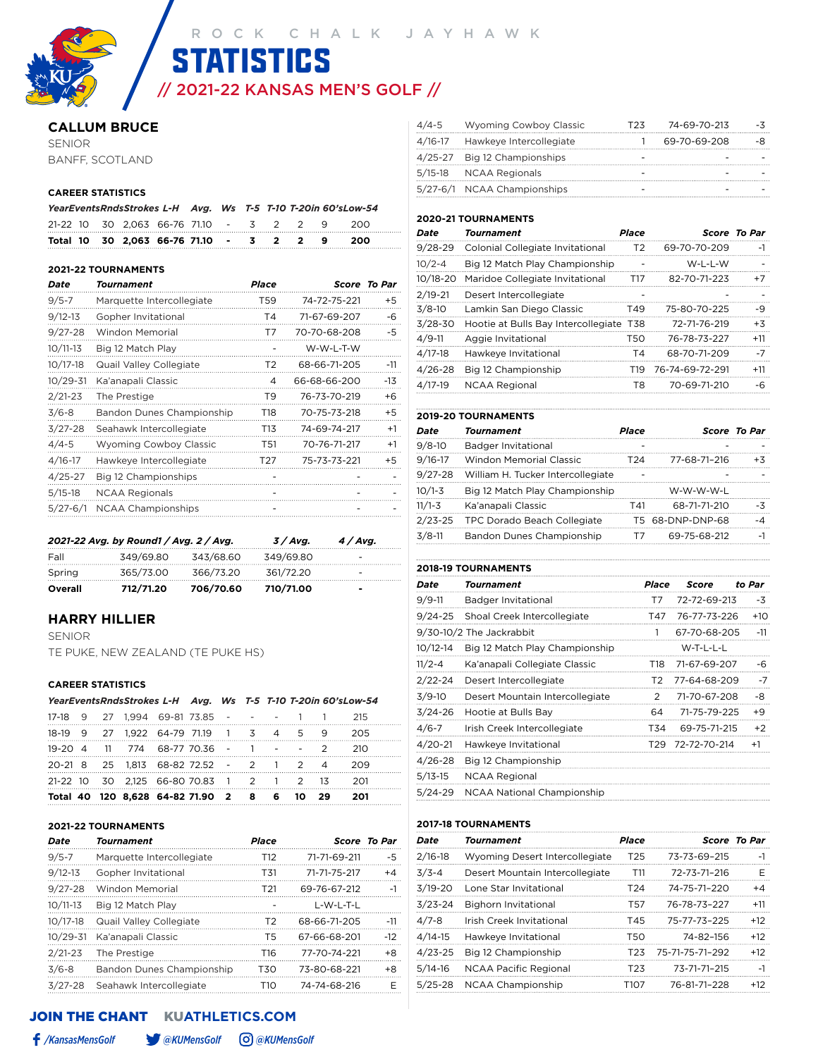// 2021-22 KANSAS MEN'S GOLF // **STATISTICS** 

#### **CALLUM BRUCE**

SENIOR BANFF, SCOTLAND

#### **CAREER STATISTICS**

|  |                                             |  |  |  | YearEventsRndsStrokes L-H Avg. Ws T-5 T-10 T-20in 60'sLow-54 |  |
|--|---------------------------------------------|--|--|--|--------------------------------------------------------------|--|
|  | 21-22 10 30 2.063 66-76 71.10 - 3 2 2 9 200 |  |  |  |                                                              |  |
|  | Total 10 30 2.063 66-76 71.10 - 3 2 2 9     |  |  |  | -200                                                         |  |

#### **2021-22 TOURNAMENTS**

| Date         | Tournament                    | Place          |              | Score To Par |
|--------------|-------------------------------|----------------|--------------|--------------|
| $9/5 - 7$    | Marquette Intercollegiate     | T59            | 74-72-75-221 | +5           |
| $9/12 - 13$  | Gopher Invitational           | T4             | 71-67-69-207 | -6           |
| $9/27 - 28$  | Windon Memorial               | T7             | 70-70-68-208 | -5           |
| $10/11-13$   | Big 12 Match Play             |                | W-W-L-T-W    |              |
| $10/17 - 18$ | Quail Valley Collegiate       | T <sub>2</sub> | 68-66-71-205 | $-11$        |
| $10/29 - 31$ | Ka'anapali Classic            | 4              | 66-68-66-200 | -13          |
| $2/21 - 23$  | The Prestige                  | T <sub>9</sub> | 76-73-70-219 | +6           |
| $3/6 - 8$    | Bandon Dunes Championship     | T18            | 70-75-73-218 | +5           |
| $3/27 - 28$  | Seahawk Intercollegiate       | T13            | 74-69-74-217 | $+1$         |
| $4/4 - 5$    | <b>Wyoming Cowboy Classic</b> | T51            | 70-76-71-217 | $+1$         |
| $4/16 - 17$  | Hawkeye Intercollegiate       | T27            | 75-73-73-221 | +5           |
| $4/25 - 27$  | Big 12 Championships          |                |              |              |
| $5/15-18$    | <b>NCAA Regionals</b>         |                |              |              |
| $5/27 - 6/1$ | <b>NCAA Championships</b>     |                |              |              |
|              |                               |                |              |              |

|         | 2021-22 Avg. by Round1 / Avg. 2 / Avg. |           | 3/Avg.    | 4/Avg. |
|---------|----------------------------------------|-----------|-----------|--------|
| Fall    | 349/69.80                              | 343/68.60 | 349/69.80 | -      |
| Spring  | 365/73.00                              | 366/73.20 | 361/72.20 | -      |
| Overall | 712/71.20                              | 706/70.60 | 710/71.00 | $\,$   |

#### **HARRY HILLIER**

SENIOR TE PUKE, NEW ZEALAND (TE PUKE HS)

#### **CAREER STATISTICS**

|  |  | YearEventsRndsStrokes L-H Avg. Ws T-5 T-10 T-20in 60'sLow-54 |  |  |  |      |
|--|--|--------------------------------------------------------------|--|--|--|------|
|  |  | 17-18 9 27 1.994 69-81 73.85 - - - - 1 1                     |  |  |  | -215 |
|  |  | 18-19 9 27 1,922 64-79 71.19 1 3 4 5 9                       |  |  |  | 205  |
|  |  | 19-20 4 11 774 68-77 70.36 - 1 - - 2                         |  |  |  | 210  |
|  |  | 20-21 8 25 1.813 68-82 72.52 - 2 1 2 4                       |  |  |  | 209  |
|  |  | 21-22 10 30 2,125 66-80 70.83 1 2 1 2 13 201                 |  |  |  |      |
|  |  | Total 40 120 8,628 64-82 71.90 2 8 6 10 29                   |  |  |  | 201  |

#### **2021-22 TOURNAMENTS**

| Date         | <b>Tournament</b>         | <b>Place</b>    |              | Score To Par |
|--------------|---------------------------|-----------------|--------------|--------------|
| $9/5 - 7$    | Marquette Intercollegiate | T <sub>12</sub> | 71-71-69-211 | -5           |
| $9/12 - 13$  | Gopher Invitational       | T31             | 71-71-75-217 | $+4$         |
| $9/27 - 28$  | Windon Memorial           | T <sub>21</sub> | 69-76-67-212 | $-1$         |
| $10/11-13$   | Big 12 Match Play         |                 | L-W-L-T-L    |              |
| $10/17 - 18$ | Quail Valley Collegiate   | T <sub>2</sub>  | 68-66-71-205 | $-11$        |
| 10/29-31     | Ka'anapali Classic        | T5              | 67-66-68-201 | $-12$        |
| $2/21 - 23$  | The Prestige              | T16             | 77-70-74-221 | +8           |
| $3/6 - 8$    | Bandon Dunes Championship | T30             | 73-80-68-221 | $+8$         |
| $3/27 - 28$  | Seahawk Intercollegiate   | T10             | 74-74-68-216 | F            |

#### JOIN THE CHANTKU**ATHLETICS.COM**

| 4/4-5 Wyoming Cowboy Classic    | 74-69-70-213 |     |
|---------------------------------|--------------|-----|
| 4/16-17 Hawkeye Intercollegiate | 69-70-69-208 |     |
| 4/25-27 Big 12 Championships    |              |     |
| 5/15-18 NCAA Regionals          |              |     |
| 5/27-6/1 NCAA Championships     |              |     |
|                                 |              | エクス |

#### **2020-21 TOURNAMENTS**

| Date       | Tournament                              | <b>Place</b>   |                 | <b>Score To Par</b> |
|------------|-----------------------------------------|----------------|-----------------|---------------------|
| 9/28-29    | Colonial Collegiate Invitational        | T <sub>2</sub> | 69-70-70-209    | $-1$                |
| $10/2 - 4$ | Big 12 Match Play Championship          |                | W-L-L-W         |                     |
| 10/18-20   | Maridoe Collegiate Invitational         | T17            | 82-70-71-223    | $+7$                |
| 2/19-21    | Desert Intercollegiate                  |                |                 |                     |
| 3/8-10     | Lamkin San Diego Classic                | T49            | 75-80-70-225    | -9                  |
| 3/28-30    | Hootie at Bulls Bay Intercollegiate T38 |                | 72-71-76-219    | $+3$                |
| 4/9-11     | Aggie Invitational                      | T50            | 76-78-73-227    | $+11$               |
| 4/17-18    | Hawkeye Invitational                    | T <sub>4</sub> | 68-70-71-209    | -7                  |
| 4/26-28    | Big 12 Championship                     | T19.           | 76-74-69-72-291 | $+11$               |
| 4/17-19    | <b>NCAA Regional</b>                    | T8.            | 70-69-71-210    | -6                  |
|            |                                         |                |                 |                     |

|             | <b>2019-20 TOURNAMENTS</b>        |              |                  |              |
|-------------|-----------------------------------|--------------|------------------|--------------|
| Date        | Tournament                        | <b>Place</b> |                  | Score To Par |
| $9/8 - 10$  | Badger Invitational               |              |                  |              |
| $9/16 - 17$ | <b>Windon Memorial Classic</b>    | T24          | 77-68-71-216     | $+3$         |
| $9/27 - 28$ | William H. Tucker Intercollegiate |              |                  |              |
| $10/1 - 3$  | Big 12 Match Play Championship    |              | W-W-W-W-L        |              |
| $11/1 - 3$  | Ka'anapali Classic                | T41          | 68-71-71-210     | -3           |
| $2/23 - 25$ | TPC Dorado Beach Collegiate       |              | T5 68-DNP-DNP-68 | -4           |
| $3/8-11$    | Bandon Dunes Championship         | т7           | 69-75-68-212     | $-1$         |

#### **2018-19 TOURNAMENTS**

| Date         | Tournament                        | Place | Score        | to Par |
|--------------|-----------------------------------|-------|--------------|--------|
| $9/9 - 11$   | Badger Invitational               | T7    | 72-72-69-213 | -3     |
| $9/24 - 25$  | Shoal Creek Intercollegiate       | T47   | 76-77-73-226 | $+10$  |
|              | 9/30-10/2 The Jackrabbit          | 1     | 67-70-68-205 | $-11$  |
| $10/12 - 14$ | Big 12 Match Play Championship    |       | W-T-L-L-L    |        |
| $11/2 - 4$   | Ka'anapali Collegiate Classic     | T18   | 71-67-69-207 | -6     |
| $2/22 - 24$  | Desert Intercollegiate            | T2    | 77-64-68-209 | $-7$   |
| $3/9-10$     | Desert Mountain Intercollegiate   | 2     | 71-70-67-208 | -8     |
| $3/24 - 26$  | Hootie at Bulls Bay               | 64    | 71-75-79-225 | +9     |
| $4/6 - 7$    | Irish Creek Intercollegiate       | T34   | 69-75-71-215 | $+2$   |
| $4/20 - 21$  | Hawkeye Invitational              | T29   | 72-72-70-214 | $+1$   |
| $4/26 - 28$  | Big 12 Championship               |       |              |        |
| $5/13 - 15$  | <b>NCAA Regional</b>              |       |              |        |
| $5/24 - 29$  | <b>NCAA National Championship</b> |       |              |        |

#### **2017-18 TOURNAMENTS**

| Date        | Tournament                      | Place           |                 | <b>Score To Par</b> |
|-------------|---------------------------------|-----------------|-----------------|---------------------|
| $2/16 - 18$ | Wyoming Desert Intercollegiate  | T <sub>25</sub> | 73-73-69-215    | $-1$                |
| $3/3 - 4$   | Desert Mountain Intercollegiate | T11             | 72-73-71-216    | F                   |
| $3/19 - 20$ | Lone Star Invitational          | T <sub>24</sub> | 74-75-71-220    | $+4$                |
| $3/23 - 24$ | <b>Bighorn Invitational</b>     | T57             | 76-78-73-227    | $+11$               |
| $4/7 - 8$   | Irish Creek Invitational        | T45             | 75-77-73-225    | $+12$               |
| $4/14-15$   | Hawkeye Invitational            | T50             | 74-82-156       | $+12$               |
| $4/23 - 25$ | Big 12 Championship             | T <sub>23</sub> | 75-71-75-71-292 | $+12$               |
| $5/14-16$   | <b>NCAA Pacific Regional</b>    | T <sub>23</sub> | 73-71-71-215    | $-1$                |
| $5/25 - 28$ | NCAA Championship               | T107            | 76-81-71-228    | $+12$               |
|             |                                 |                 |                 |                     |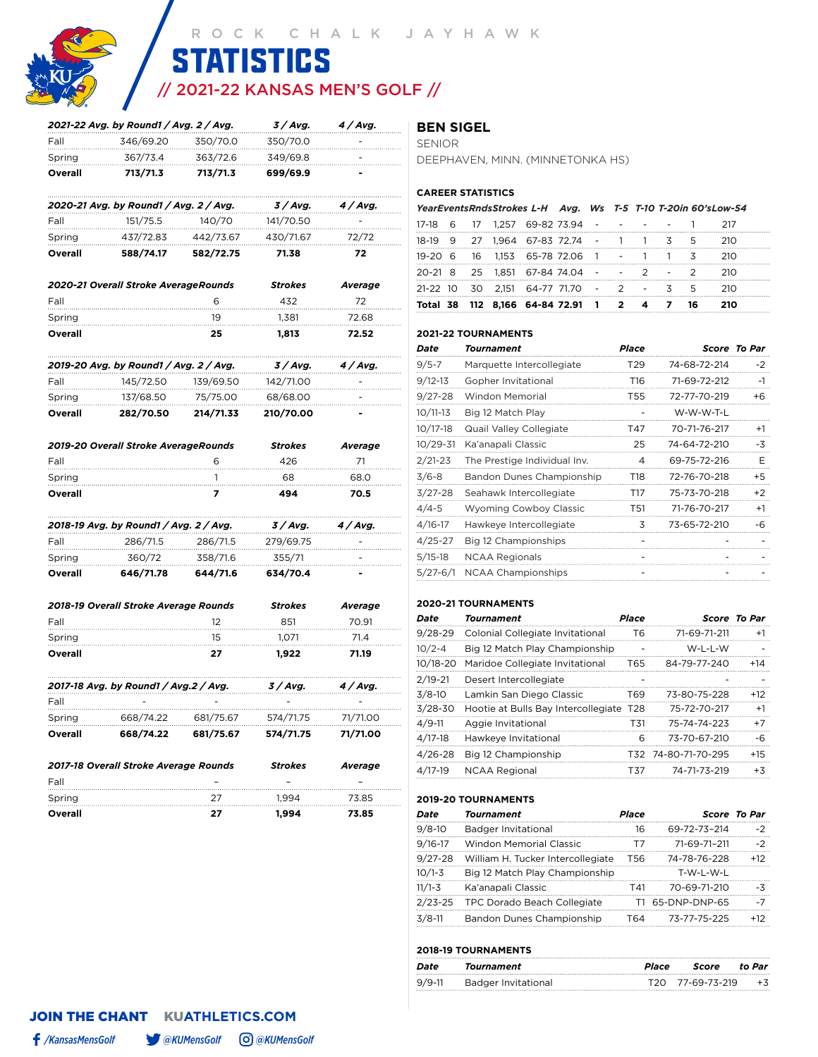

# // 2021-22 KANSAS MEN'S GOLF // **STATISTICS**

|         | 2021-22 Avg. by Round1 / Avg. 2 / Avg. |           | 3/Avg.         | 4 / Avg.        |
|---------|----------------------------------------|-----------|----------------|-----------------|
| Fall    | 346/69.20                              | 350/70.0  | 350/70.0       |                 |
| Spring  | 367/73.4                               | 363/72.6  | 349/69.8       |                 |
| Overall | 713/71.3                               | 713/71.3  | 699/69.9       |                 |
|         | 2020-21 Avg. by Round1 / Avg. 2 / Avg. |           | 3/Avg.         | 4 / Avg.        |
| Fall    | 151/75.5                               | 140/70    | 141/70.50      |                 |
| Spring  | 437/72.83                              | 442/73.67 | 430/71.67      | 72/72           |
| Overall | 588/74.17                              | 582/72.75 | 71.38          | 72              |
|         | 2020-21 Overall Stroke AverageRounds   |           | <b>Strokes</b> | Average         |
| Fall    |                                        | 6         | 432            | 72              |
| Spring  |                                        | 19        | 1,381          | 72.68           |
| Overall |                                        | 25        | 1,813          | 72.52           |
|         | 2019-20 Avg. by Round1 / Avg. 2 / Avg. |           | 3 / Avg.       | 4 / Avg.        |
| Fall    | 145/72.50                              | 139/69.50 | 142/71.00      |                 |
| Spring  | 137/68.50                              | 75/75.00  | 68/68.00       |                 |
| Overall | 282/70.50                              | 214/71.33 | 210/70.00      |                 |
|         | 2019-20 Overall Stroke AverageRounds   |           | <b>Strokes</b> | Average         |
| Fall    |                                        | 6         | 426            | 71              |
| Spring  |                                        | 1         | 68             | 68.0            |
| Overall |                                        | 7         | 494            | 70.5            |
|         | 2018-19 Avg. by Round1 / Avg. 2 / Avg. |           | 3 / Avg.       | 4 / Avg.        |
| Fall    | 286/71.5                               | 286/71.5  | 279/69.75      |                 |
| Spring  | 360/72                                 | 358/71.6  | 355/71         |                 |
| Overall | 646/71.78                              | 644/71.6  | 634/70.4       |                 |
|         | 2018-19 Overall Stroke Average Rounds  |           | <b>Strokes</b> | Average         |
| Fall    |                                        | 12        | 851            | 70.91           |
| Spring  |                                        | 15        | 1,071          | 71.4            |
| Overall |                                        | 27        | 1,922          | 71.19           |
|         | 2017-18 Avg. by Round1 / Avg.2 / Avg.  |           | 3 / Avg.       | <i>4 / Avg.</i> |
| Fall    |                                        |           |                |                 |
| Spring  | 668/74.22                              | 681/75.67 | 574/71.75      | 71/71.00        |
| Overall | 668/74.22                              | 681/75.67 | 574/71.75      | 71/71.00        |
|         | 2017-18 Overall Stroke Average Rounds  |           | <b>Strokes</b> | Average         |
| Fall    |                                        |           |                |                 |
| Spring  |                                        | 27        | 1,994          | 73.85           |

#### **BEN SIGEL**

SENIOR

DEEPHAVEN, MINN. (MINNETONKA HS)

#### **CAREER STATISTICS**

### *YearEventsRndsStrokes L-H Avg. Ws T-5 T-10 T-20in 60'sLow-54*

|  |  | Total 38 112 8,166 64-84 72.91 1 2 4 7 16 |  |  |  |  |
|--|--|-------------------------------------------|--|--|--|--|
|  |  | 21-22 10 30 2,151 64-77 71.70 - 2 - 3 5   |  |  |  |  |
|  |  | 20-21 8 25 1.851 67-84 74.04 - - 2 - 2    |  |  |  |  |
|  |  | 19-20 6 16 1.153 65-78 72.06 1 - 1 1 3    |  |  |  |  |
|  |  | 18-19 9 27 1.964 67-83 72.74 - 1 1 3 5    |  |  |  |  |
|  |  | 17-18 6 17 1,257 69-82 73.94 - - - - -    |  |  |  |  |

#### **2021-22 TOURNAMENTS**

| Date     | Tournament                    | Place           |              | <b>Score To Par</b> |
|----------|-------------------------------|-----------------|--------------|---------------------|
| 9/5-7    | Marquette Intercollegiate     | T29             | 74-68-72-214 | $-2$                |
| 9/12-13  | Gopher Invitational           | T <sub>16</sub> | 71-69-72-212 | $-1$                |
| 9/27-28  | Windon Memorial               | T55             | 72-77-70-219 | +6                  |
| 10/11-13 | Big 12 Match Play             |                 | W-W-W-T-L    |                     |
| 10/17-18 | Quail Valley Collegiate       | T47             | 70-71-76-217 | $+1$                |
| 10/29-31 | Ka'anapali Classic            | 25              | 74-64-72-210 | -3                  |
| 2/21-23  | The Prestige Individual Inv.  | 4               | 69-75-72-216 | Е                   |
| 3/6-8    | Bandon Dunes Championship     | T18             | 72-76-70-218 | $+5$                |
| 3/27-28  | Seahawk Intercollegiate       | T17             | 75-73-70-218 | $+2$                |
| 4/4-5    | <b>Wyoming Cowboy Classic</b> | T51             | 71-76-70-217 | $+1$                |
| 4/16-17  | Hawkeye Intercollegiate       | 3               | 73-65-72-210 | -6                  |
| 4/25-27  | Big 12 Championships          |                 |              |                     |
| 5/15-18  | <b>NCAA Regionals</b>         |                 |              |                     |
| 5/27-6/1 | <b>NCAA Championships</b>     |                 |              |                     |

#### **2020-21 TOURNAMENTS**

| Date       | Tournament                              | <b>Place</b> |                     | Score To Par |  |
|------------|-----------------------------------------|--------------|---------------------|--------------|--|
| 9/28-29    | Colonial Collegiate Invitational        | T6           | 71-69-71-211        | $+1$         |  |
| $10/2 - 4$ | Big 12 Match Play Championship          |              | W-L-L-W             |              |  |
| 10/18-20   | Maridoe Collegiate Invitational         | T65          | 84-79-77-240        | $+14$        |  |
| 2/19-21    | Desert Intercollegiate                  |              |                     |              |  |
| 3/8-10     | Lamkin San Diego Classic                | T69          | 73-80-75-228        | $+12$        |  |
| 3/28-30    | Hootie at Bulls Bay Intercollegiate T28 |              | 75-72-70-217        | $+1$         |  |
| 4/9-11     | Aggie Invitational                      | T31          | 75-74-74-223        | $+7$         |  |
| 4/17-18    | Hawkeye Invitational                    | 6            | 73-70-67-210        | -6           |  |
| 4/26-28    | Big 12 Championship                     |              | T32 74-80-71-70-295 | $+15$        |  |
| 4/17-19    | <b>NCAA Regional</b>                    | T37          | 74-71-73-219        | $+3$         |  |
|            |                                         |              |                     |              |  |

#### **2019-20 TOURNAMENTS**

| Date       | <b>Tournament</b>                 | Place |               | Score To Par |
|------------|-----------------------------------|-------|---------------|--------------|
| $9/8 - 10$ | Badger Invitational               | 16    | 69-72-73-214  | $-2$         |
| 9/16-17    | <b>Windon Memorial Classic</b>    | Τ7    | 71-69-71-211  | $-2$         |
| 9/27-28    | William H. Tucker Intercollegiate | T56   | 74-78-76-228  | $+12$        |
| 10/1-3     | Big 12 Match Play Championship    |       | T-W-L-W-L     |              |
| $11/1-3$   | Ka'anapali Classic                | T41   | 70-69-71-210  | -3           |
| 2/23-25    | TPC Dorado Beach Collegiate       |       | 65-DNP-DNP-65 | -7           |
| 3/8-11     | Bandon Dunes Championship         | T64   | 73-77-75-225  | $+12$        |

#### **2018-19 TOURNAMENTS**

| Date       | Tournament          | Place | Score                        | to Par |
|------------|---------------------|-------|------------------------------|--------|
| $9/9 - 11$ | Badger Invitational |       | T <sub>20</sub> 77-69-73-219 | $+3$   |

**Overall 27 1,994 73.85**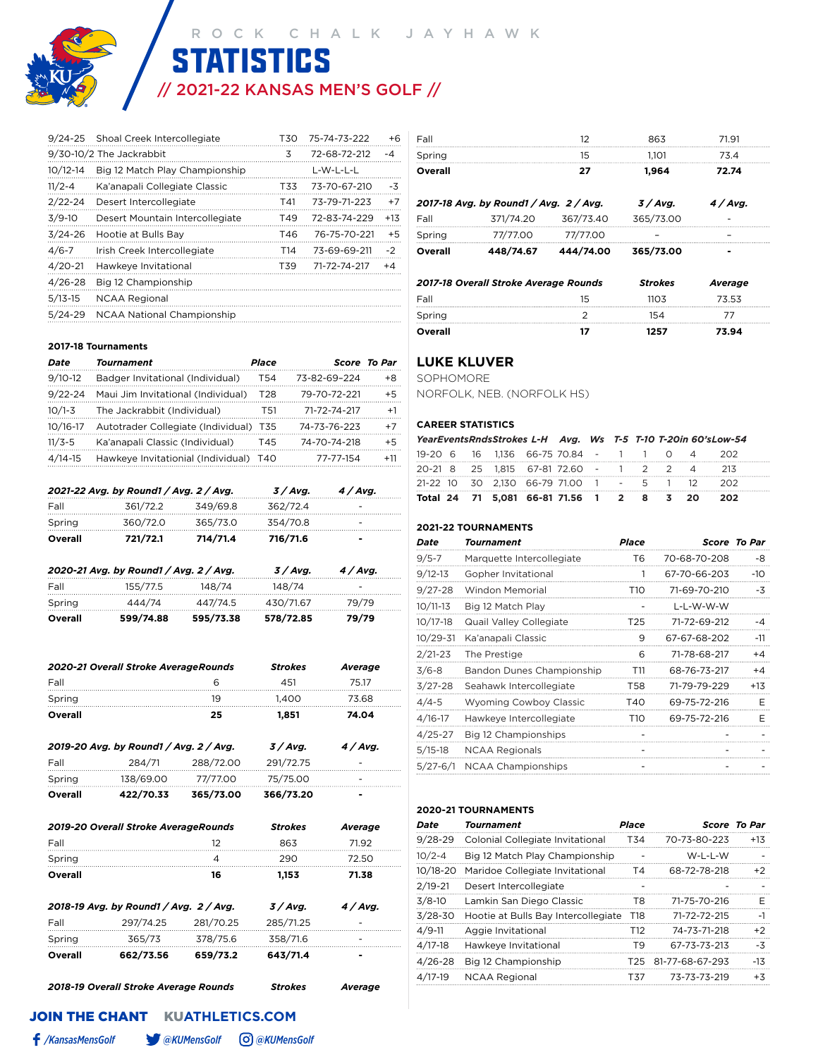

# // 2021-22 KANSAS MEN'S GOLF // **STATISTICS**

| $9/24 - 25$  | Shoal Creek Intercollegiate       | T30 | 75-74-73-222 | +6    |
|--------------|-----------------------------------|-----|--------------|-------|
|              | 9/30-10/2 The Jackrabbit          | 3   | 72-68-72-212 | -4    |
| $10/12 - 14$ | Big 12 Match Play Championship    |     | L-W-L-L-L    |       |
| $11/2 - 4$   | Ka'anapali Collegiate Classic     | T33 | 73-70-67-210 | -3    |
| $2/22 - 24$  | Desert Intercollegiate            | T41 | 73-79-71-223 | $+7$  |
| $3/9-10$     | Desert Mountain Intercollegiate   | T49 | 72-83-74-229 | $+13$ |
| $3/24 - 26$  | Hootie at Bulls Bay               | T46 | 76-75-70-221 | $+5$  |
| $4/6 - 7$    | Irish Creek Intercollegiate       | T14 | 73-69-69-211 | $-2$  |
| $4/20 - 21$  | Hawkeye Invitational              | T39 | 71-72-74-217 | +4    |
| $4/26 - 28$  | Big 12 Championship               |     |              |       |
| $5/13 - 15$  | <b>NCAA Regional</b>              |     |              |       |
| $5/24-29$    | <b>NCAA National Championship</b> |     |              |       |

| Overall | 448/74.67                              | 444/74.00 | 365/73.00 |        |  |
|---------|----------------------------------------|-----------|-----------|--------|--|
| Spring  | 77/77.00                               | 77/77.00  |           |        |  |
| Fall    | 371/74.20                              | 367/73.40 | 365/73.00 |        |  |
|         | 2017-18 Avg. by Round1 / Avg. 2 / Avg. |           | 3 / Avg.  | 4/Avg. |  |
| Overall |                                        | 27        | 1.964     | 72.74  |  |
| Spring  |                                        | 15        | 1.101     | 73.4   |  |
| Fall    |                                        | 12        | 863       | 71.91  |  |

| 2017-18 Overall Stroke Average Rounds |    | <b>Strokes</b> | Average |
|---------------------------------------|----|----------------|---------|
| Fall                                  | 15 | 1103           | 73.53   |
| Spring                                |    | 154            |         |
| Overall                               |    | 1257           | 73.94   |

### **LUKE KLUVER**

SOPHOMORE NORFOLK, NEB. (NORFOLK HS)

#### **CAREER STATISTICS**

|  | YearEventsRndsStrokes L-H Avg. Ws T-5 T-10 T-20in 60'sLow-54 |  |  |  |  |
|--|--------------------------------------------------------------|--|--|--|--|
|  | 19-20 6 16 1.136 66-75 70.84 - 1 1 0 4 202                   |  |  |  |  |
|  | 20-21 8 25 1.815 67-81 72.60 - 1 2 2 4 213                   |  |  |  |  |
|  | 21-22 10 30 2.130 66-79 71.00 1 - 5 1 12 202                 |  |  |  |  |
|  | Total 24 71 5,081 66-81 71.56 1 2 8 3 20 202                 |  |  |  |  |

#### **2021-22 TOURNAMENTS**

| Date         | Tournament                    | Place           |              | <b>Score To Par</b> |
|--------------|-------------------------------|-----------------|--------------|---------------------|
| $9/5 - 7$    | Marquette Intercollegiate     | Т6              | 70-68-70-208 | -8                  |
| $9/12 - 13$  | Gopher Invitational           | 1               | 67-70-66-203 | $-10$               |
| 9/27-28      | Windon Memorial               | T10             | 71-69-70-210 | -3                  |
| 10/11-13     | Big 12 Match Play             |                 | L-L-W-W-W    |                     |
| 10/17-18     | Quail Valley Collegiate       | T <sub>25</sub> | 71-72-69-212 | -4                  |
| 10/29-31     | Ka'anapali Classic            | 9               | 67-67-68-202 | -11                 |
| $2/21 - 23$  | The Prestige                  | 6               | 71-78-68-217 | +4                  |
| $3/6 - 8$    | Bandon Dunes Championship     | T11             | 68-76-73-217 | $+4$                |
| 3/27-28      | Seahawk Intercollegiate       | T58             | 71-79-79-229 | +13                 |
| 4/4-5        | <b>Wyoming Cowboy Classic</b> | T40             | 69-75-72-216 | Е                   |
| 4/16-17      | Hawkeye Intercollegiate       | T <sub>10</sub> | 69-75-72-216 | F                   |
| 4/25-27      | Big 12 Championships          |                 |              |                     |
| $5/15-18$    | <b>NCAA Regionals</b>         |                 |              |                     |
| $5/27 - 6/1$ | <b>NCAA Championships</b>     |                 |              |                     |
|              |                               |                 |              |                     |

#### **2020-21 TOURNAMENTS**

| Date        | Tournament                          | Place          |                 | <b>Score To Par</b> |
|-------------|-------------------------------------|----------------|-----------------|---------------------|
| $9/28 - 29$ | Colonial Collegiate Invitational    | T34            | 70-73-80-223    | $+13$               |
| $10/2 - 4$  | Big 12 Match Play Championship      |                | W-L-L-W         | $\overline{a}$      |
| 10/18-20    | Maridoe Collegiate Invitational     | T4             | 68-72-78-218    | $+2$                |
| $2/19 - 21$ | Desert Intercollegiate              |                |                 |                     |
| $3/8 - 10$  | Lamkin San Diego Classic            | T8             | 71-75-70-216    | F                   |
| $3/28 - 30$ | Hootie at Bulls Bay Intercollegiate | T18            | 71-72-72-215    | -1                  |
| $4/9 - 11$  | Aggie Invitational                  | T12            | 74-73-71-218    | $+2$                |
| $4/17-18$   | Hawkeye Invitational                | T <sub>9</sub> | 67-73-73-213    | $-3\overline{5}$    |
| $4/26 - 28$ | Big 12 Championship                 | T25.           | 81-77-68-67-293 | $-13$               |
| $4/17-19$   | <b>NCAA Regional</b>                | T37            | 73-73-73-219    | $+3$                |
|             |                                     |                |                 |                     |

#### **2017-18 Tournaments**

| Date        | Tournament                             | Place |              | <b>Score To Par</b> |
|-------------|----------------------------------------|-------|--------------|---------------------|
| $9/10-12$   | Badger Invitational (Individual)       | T54   | 73-82-69-224 | $+8$                |
| $9/22 - 24$ | Maui Jim Invitational (Individual)     | T28   | 79-70-72-221 | $+5$                |
| $10/1 - 3$  | The Jackrabbit (Individual)            | T51   | 71-72-74-217 | $+1$                |
| 10/16-17    | Autotrader Collegiate (Individual) T35 |       | 74-73-76-223 | $+7$                |
| $11/3 - 5$  | Ka'anapali Classic (Individual)        | T45.  | 74-70-74-218 | $+5$                |
| $4/14-15$   | Hawkeye Invitationial (Individual) T40 |       | 77-77-154    | $+11$               |

|         | 2021-22 Avg. by Round1 / Avg. 2 / Avg. |           | 3 / Avg.  | 4 / Ava.   |  |
|---------|----------------------------------------|-----------|-----------|------------|--|
| Fall    | 361/72.2                               | 349/69.8  | 362/72.4  |            |  |
| Spring  | 360/72.0                               | 365/73.0  | 354/70.8  |            |  |
| Overall | 721/72.1                               | 714/71.4  | 716/71.6  |            |  |
|         | 2020-21 Avg. by Round1 / Avg. 2 / Avg. |           | 3 / Avg.  | $4 /$ Avg. |  |
| Fall    | 155/77.5                               | 148/74    | 148/74    |            |  |
| Spring  | 444/74                                 | 447/74.5  | 430/71.67 | 79/79      |  |
| Overall | 599/74.88                              | 595/73.38 | 578/72.85 | 79/79      |  |

| 2020-21 Overall Stroke AverageRounds |    | <b>Strokes</b> | Average |
|--------------------------------------|----|----------------|---------|
| Fall                                 |    | 451            | 75 17   |
| Spring                               | 19 | 1.400          | 73 68   |
| Overall                              | 25 | 1.851          | 74.04   |

| Overall | 422/70.33                              | 365/73.00 | 366/73.20 | $\overline{\phantom{a}}$ |
|---------|----------------------------------------|-----------|-----------|--------------------------|
| Spring  | 138/69.00                              | 77/77.00  | 75/75.00  | -                        |
| Fall    | 284/71                                 | 288/72.00 | 291/72.75 | -                        |
|         | 2019-20 Avg. by Round1 / Avg. 2 / Avg. |           | 3 / Ava.  | $4/A$ va.                |

| 2019-20 Overall Stroke AverageRounds   |           |           | <b>Strokes</b> | Average   |
|----------------------------------------|-----------|-----------|----------------|-----------|
| Fall                                   |           | 12        | 863            | 7192      |
| Spring                                 |           | 4         | 290            | 72.50     |
| Overall                                |           | 16        | 1.153          | 71.38     |
| 2018-19 Avg. by Round1 / Avg. 2 / Avg. |           |           | 3/Avg.         | $4/A$ vq. |
| Fall                                   | 297/74.25 | 281/70.25 | 285/71.25      |           |
| Spring                                 | 365/73    | 378/75.6  | 358/71.6       |           |
| Overall                                | 662/73.56 | 659/73.2  | 643/71.4       |           |

*2018-19 Overall Stroke Average Rounds Strokes Average*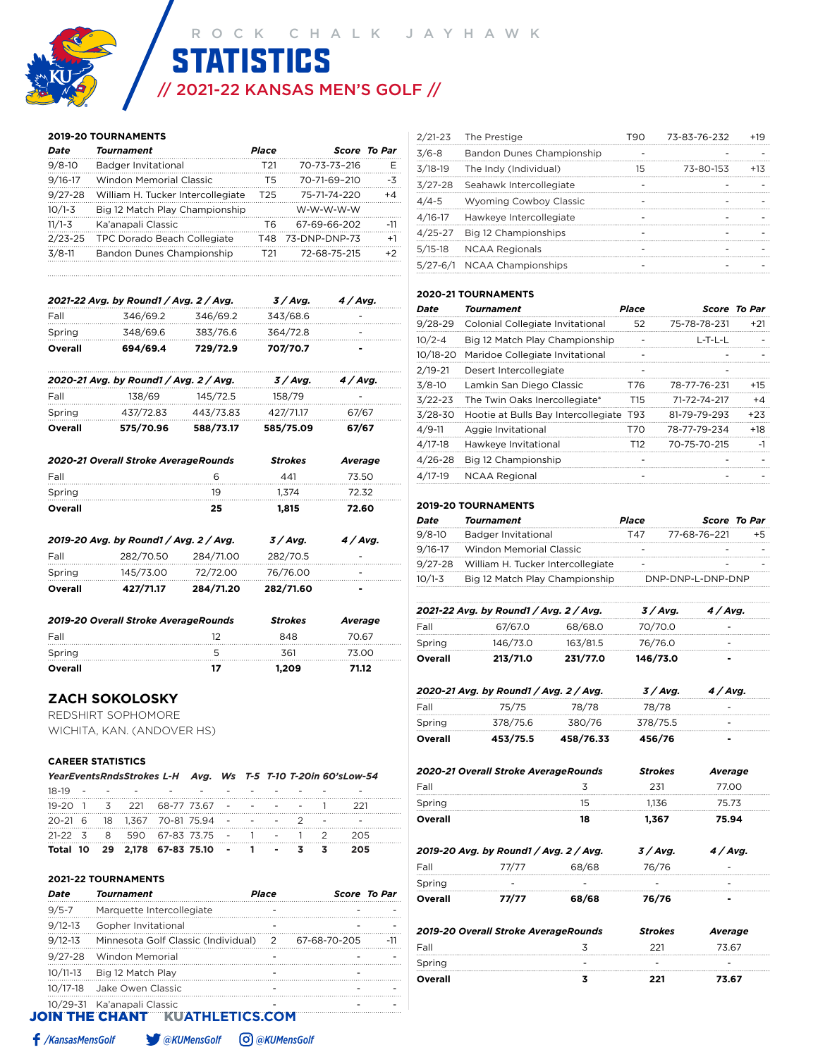# // 2021-22 KANSAS MEN'S GOLF // **STATISTICS** ROCK CHALK JAYHAWK<br>STATISTICS

#### **2019-20 TOURNAMENTS**

| Date        | Tournament                        | Place |               | <b>Score To Par</b> |
|-------------|-----------------------------------|-------|---------------|---------------------|
| $9/8 - 10$  | Badger Invitational               | T21   | 70-73-73-216  | F                   |
| $9/16 - 17$ | <b>Windon Memorial Classic</b>    | Τ5    | 70-71-69-210  | -3                  |
| $9/27 - 28$ | William H. Tucker Intercollegiate | T25   | 75-71-74-220  | $+4$                |
| $10/1 - 3$  | Big 12 Match Play Championship    |       | W-W-W-W-W     |                     |
| $11/1 - 3$  | Ka'anapali Classic                | T6    | 67-69-66-202  | $-11$               |
| $2/23 - 25$ | TPC Dorado Beach Collegiate       | T48   | 73-DNP-DNP-73 | $+1$                |
| $3/8-11$    | Bandon Dunes Championship         | T21   | 72-68-75-215  | $+2$                |
|             |                                   |       |               |                     |

|         | 2021-22 Avg. by Round1 / Avg. 2 / Avg. |          | 3/Avg.   | 4/Avg.     |
|---------|----------------------------------------|----------|----------|------------|
| Fall    | 346/69.2                               | 346/69.2 | 343/68.6 |            |
| Spring  | 348/69.6                               | 383/76.6 | 364/72.8 |            |
| Overall | 694/69.4                               | 729/72.9 | 707/70.7 |            |
|         | 2020-21 Avg. by Round1 / Avg. 2 / Avg. |          | 3 / Avg. | $4 /$ Avg. |
| Fall    | 138/69                                 | 145/72.5 | 158/79   |            |

Spring 437/72.83 443/73.83 427/71.17 67/67 **Overall 575/70.96 588/73.17 585/75.09 67/67**

|         | 2020-21 Overall Stroke AverageRounds   |           | <b>Strokes</b> | Average |
|---------|----------------------------------------|-----------|----------------|---------|
| Fall    |                                        | 6         | 441            | 73.50   |
| Spring  |                                        | 19        | 1.374          | 72.32   |
| Overall |                                        | 25        | 1.815          | 72.60   |
|         | 2019-20 Avg. by Round1 / Avg. 2 / Avg. |           | 3/Avg.         | 4/Avg.  |
| Fall    | 282/70.50                              | 284/71.00 | 282/70.5       |         |
| Spring  | 145/73.00                              | 72/72.00  | 76/76.00       |         |
| Overall | 427/71.17                              | 284/71.20 | 282/71.60      |         |

| 2019-20 Overall Stroke AverageRounds | <b>Strokes</b> | Average |        |
|--------------------------------------|----------------|---------|--------|
| Fall                                 |                | 848     | 70.67  |
| Spring                               |                | 361     | 73 O.O |
| Overall                              |                | 1.209   | 71.12  |

### **ZACH SOKOLOSKY**

REDSHIRT SOPHOMORE WICHITA, KAN. (ANDOVER HS)

#### **CAREER STATISTICS**

|  | YearEventsRndsStrokes L-H Avg. Ws T-5 T-10 T-20in 60'sLow-54 |  |  |  |     |  |
|--|--------------------------------------------------------------|--|--|--|-----|--|
|  |                                                              |  |  |  |     |  |
|  | 19-20 1 3 221 68-77 73.67 - - - - 1 221                      |  |  |  |     |  |
|  | 20-21 6 18 1,367 70-81 75.94 - - - - 2 -                     |  |  |  |     |  |
|  | 21-22 3 8 590 67-83 73.75 - 1 - 1 2 205                      |  |  |  |     |  |
|  | Total 10 29 2,178 67-83 75.10 - 1 - 3 3                      |  |  |  | 205 |  |

**2021-22 TOURNAMENTS**

| Date         | <b>Tournament</b>                     | Place |              | <b>Score To Par</b> |
|--------------|---------------------------------------|-------|--------------|---------------------|
| $9/5 - 7$    | Marquette Intercollegiate             |       |              |                     |
| $9/12 - 13$  | Gopher Invitational                   |       |              |                     |
| $9/12 - 13$  | Minnesota Golf Classic (Individual) 2 |       | 67-68-70-205 | $-11$               |
| $9/27 - 28$  | Windon Memorial                       |       |              |                     |
| $10/11-13$   | Big 12 Match Play                     |       |              |                     |
| $10/17 - 18$ | Jake Owen Classic                     |       |              |                     |
|              | 10/29-31 Ka'anapali Classic           |       |              |                     |
|              | <b>JOIN THE CHANT KUATHLETICS.COM</b> |       |              |                     |

| $2/21 - 23$  | The Prestige                  | T90 | 73-83-76-232 | $+19$  |
|--------------|-------------------------------|-----|--------------|--------|
| $3/6 - 8$    | Bandon Dunes Championship     |     |              |        |
| $3/18-19$    | The Indy (Individual)         | 15  | 73-80-153    | $+1.3$ |
| $3/27 - 28$  | Seahawk Intercollegiate       |     |              |        |
| $4/4 - 5$    | <b>Wyoming Cowboy Classic</b> |     |              |        |
| $4/16 - 17$  | Hawkeye Intercollegiate       |     |              |        |
| $4/25 - 27$  | Big 12 Championships          |     |              |        |
| $5/15-18$    | <b>NCAA Regionals</b>         |     |              |        |
| $5/27 - 6/1$ | <b>NCAA Championships</b>     |     |              |        |

#### **2020-21 TOURNAMENTS**

| Date       | Tournament                          | Place           |              | Score To Par |
|------------|-------------------------------------|-----------------|--------------|--------------|
| 9/28-29    | Colonial Collegiate Invitational    | 52              | 75-78-78-231 | $+21$        |
| $10/2 - 4$ | Big 12 Match Play Championship      |                 | L-T-L-L      |              |
| 10/18-20   | Maridoe Collegiate Invitational     |                 |              |              |
| 2/19-21    | Desert Intercollegiate              |                 |              |              |
| 3/8-10     | Lamkin San Diego Classic            | T76             | 78-77-76-231 | $+15$        |
| 3/22-23    | The Twin Oaks Inercollegiate*       | T15             | 71-72-74-217 | $+4$         |
| 3/28-30    | Hootie at Bulls Bay Intercollegiate | T93             | 81-79-79-293 | $+23$        |
| 4/9-11     | Aggie Invitational                  | T70             | 78-77-79-234 | $+18$        |
| 4/17-18    | Hawkeye Invitational                | T <sub>12</sub> | 70-75-70-215 | $-1$         |
| 4/26-28    | Big 12 Championship                 |                 |              |              |
| 4/17-19    | <b>NCAA Regional</b>                |                 |              |              |

#### **2019-20 TOURNAMENTS**

| Date       | <b>Tournament</b>                         | Place |                   | <b>Score To Par</b> |
|------------|-------------------------------------------|-------|-------------------|---------------------|
| $9/8 - 10$ | <b>Badger Invitational</b>                | T47   | 77-68-76-221      |                     |
|            | 9/16-17 Windon Memorial Classic           |       |                   |                     |
|            | 9/27-28 William H. Tucker Intercollegiate |       |                   |                     |
| $10/1 - 3$ | Big 12 Match Play Championship            |       | DNP-DNP-L-DNP-DNP |                     |

|         | 2021-22 Avg. by Round1 / Avg. 2 / Avg. |          | 3 / Ava. | 4/Avg. |
|---------|----------------------------------------|----------|----------|--------|
| Fall    | 67/67.0                                | 68/68.0  | 70/70.0  |        |
| Spring  | 146/73.0                               | 163/81.5 | 76/76.0  |        |
| Overall | 213/71.0                               | 231/77.0 | 146/73.0 | -      |

|         | 2020-21 Avg. by Round1 / Avg. 2 / Avg. |           | 3/Avg.   | 4/Avg.                   |  |
|---------|----------------------------------------|-----------|----------|--------------------------|--|
| Fall    | 75/75                                  | 78/78     | 78/78    |                          |  |
| Spring  | 378/75.6                               | 380/76    | 378/75.5 |                          |  |
| Overall | 453/75.5                               | 458/76.33 | 456/76   | $\overline{\phantom{a}}$ |  |

|         | 2020-21 Overall Stroke AverageRounds   |       | <b>Strokes</b> | Average |
|---------|----------------------------------------|-------|----------------|---------|
| Fall    |                                        | 3     | 231            | 77.00   |
| Spring  |                                        | 15    | 1.136          | 75.73   |
| Overall |                                        | 18    | 1,367          | 75.94   |
|         | 2019-20 Avg. by Round1 / Avg. 2 / Avg. |       | 3/Avg.         | 4/Avg.  |
| Fall    | 77/77                                  | 68/68 | 76/76          |         |
| Spring  |                                        |       |                |         |
| Overall | 77/77                                  | 68/68 | 76/76          |         |
|         | 2019-20 Overall Stroke AverageRounds   |       | <b>Strokes</b> | Average |
| Fall    |                                        | 3     | 221            | 73.67   |
| Spring  |                                        |       |                |         |

**Overall 3 221 73.67**

*/KansasMensGolf @KUMensGolf @KUMensGolf*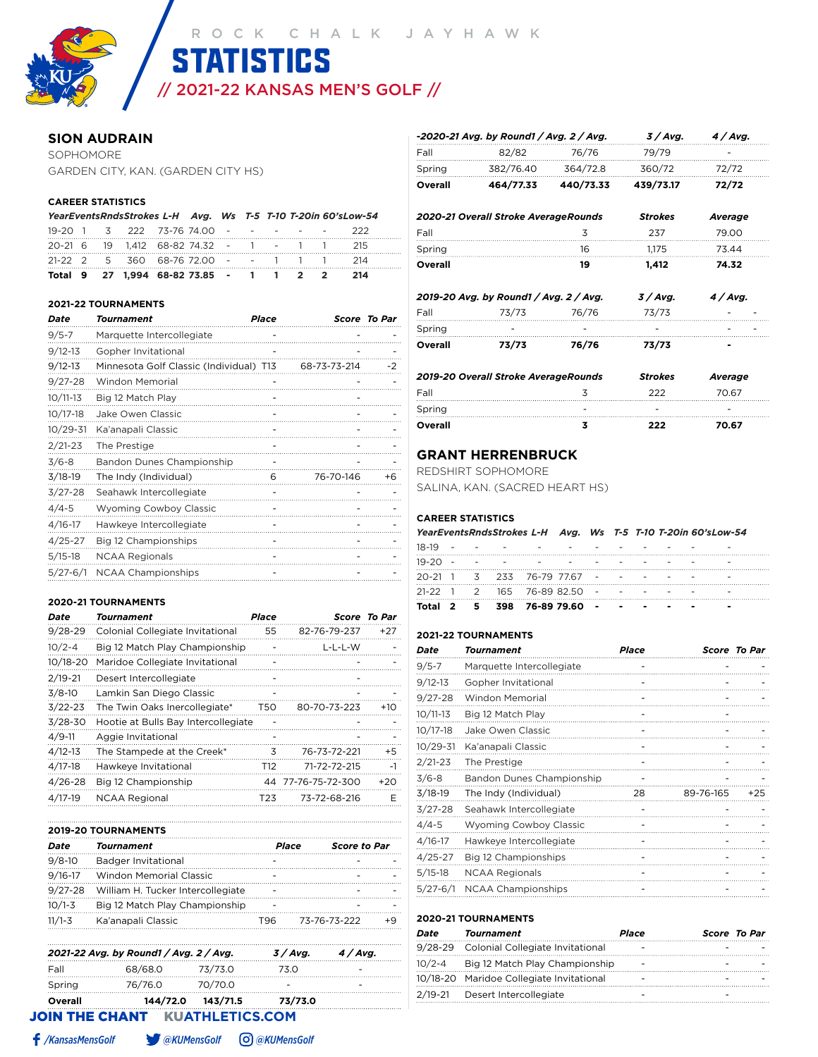// 2021-22 KANSAS MEN'S GOLF //

**STATISTICS** 

#### **SION AUDRAIN**

SOPHOMORE GARDEN CITY, KAN. (GARDEN CITY HS)

#### **CAREER STATISTICS**

|  |                                              |  |  |  | YearEventsRndsStrokes L-H Avg. Ws T-5 T-10 T-20in 60'sLow-54 |  |
|--|----------------------------------------------|--|--|--|--------------------------------------------------------------|--|
|  | 19-20 1 3 222 73-76 74.00 - - - - - - 222    |  |  |  |                                                              |  |
|  | 20-21 6 19 1.412 68-82 74.32 - 1 - 1 1 215   |  |  |  |                                                              |  |
|  | 21-22 2 5 360 68-76 72.00 - - 1 1 1 214      |  |  |  |                                                              |  |
|  | Total 9 27 1.994 68-82 73.85 - 1 1 2 2 2 214 |  |  |  |                                                              |  |

#### **2021-22 TOURNAMENTS**

| Date         | Tournament                              | Place |              | Score To Par |
|--------------|-----------------------------------------|-------|--------------|--------------|
| $9/5 - 7$    | Marquette Intercollegiate               |       |              |              |
| $9/12 - 13$  | Gopher Invitational                     |       |              |              |
| $9/12 - 13$  | Minnesota Golf Classic (Individual) T13 |       | 68-73-73-214 | -2           |
| $9/27 - 28$  | <b>Windon Memorial</b>                  |       |              |              |
| $10/11-13$   | Big 12 Match Play                       |       |              |              |
| $10/17 - 18$ | Jake Owen Classic                       |       |              |              |
| $10/29 - 31$ | Ka'anapali Classic                      |       |              |              |
| $2/21 - 23$  | The Prestige                            |       |              |              |
| $3/6 - 8$    | Bandon Dunes Championship               |       |              |              |
| $3/18-19$    | The Indy (Individual)                   | 6     | 76-70-146    | +6           |
| $3/27 - 28$  | Seahawk Intercollegiate                 |       |              |              |
| $4/4 - 5$    | <b>Wyoming Cowboy Classic</b>           |       |              |              |
| $4/16 - 17$  | Hawkeye Intercollegiate                 |       |              |              |
| $4/25 - 27$  | Big 12 Championships                    |       |              |              |
| $5/15-18$    | <b>NCAA Regionals</b>                   |       |              |              |
| $5/27 - 6/1$ | <b>NCAA Championships</b>               |       |              |              |
|              |                                         |       |              |              |

#### **2020-21 TOURNAMENTS**

| Date        | Tournament                          | <b>Place</b> |                    | <b>Score To Par</b> |
|-------------|-------------------------------------|--------------|--------------------|---------------------|
| $9/28 - 29$ | Colonial Collegiate Invitational    | 55           | 82-76-79-237       | $+27$               |
| $10/2 - 4$  | Big 12 Match Play Championship      |              | L-L-L-W            |                     |
| 10/18-20    | Maridoe Collegiate Invitational     |              |                    |                     |
| $2/19 - 21$ | Desert Intercollegiate              |              |                    |                     |
| $3/8-10$    | Lamkin San Diego Classic            |              |                    |                     |
| $3/22 - 23$ | The Twin Oaks Inercollegiate*       | T50          | 80-70-73-223       | $+10$               |
| $3/28 - 30$ | Hootie at Bulls Bay Intercollegiate |              |                    |                     |
| $4/9 - 11$  | Aggie Invitational                  | -            |                    |                     |
| $4/12 - 13$ | The Stampede at the Creek*          | 3            | 76-73-72-221       | $+5$                |
| $4/17-18$   | Hawkeye Invitational                | T12          | 71-72-72-215       | $-1$                |
| $4/26 - 28$ | Big 12 Championship                 |              | 44 77-76-75-72-300 | $+20$               |
| $4/17-19$   | <b>NCAA Regional</b>                | T23          | 73-72-68-216       | F                   |

|             | <b>2019-20 TOURNAMENTS</b>        |     |                              |  |  |  |  |
|-------------|-----------------------------------|-----|------------------------------|--|--|--|--|
| Date        | Tournament                        |     | Place<br><b>Score to Par</b> |  |  |  |  |
| $9/8 - 10$  | Badger Invitational               |     |                              |  |  |  |  |
| $9/16 - 17$ | Windon Memorial Classic           |     |                              |  |  |  |  |
| $9/27 - 28$ | William H. Tucker Intercollegiate |     |                              |  |  |  |  |
| $10/1 - 3$  | Big 12 Match Play Championship    |     |                              |  |  |  |  |
| $11/1 - 3$  | Ka'anapali Classic                | T96 | 73-76-73-222                 |  |  |  |  |
|             |                                   |     |                              |  |  |  |  |

|         | 2021-22 Avg. by Round1 / Avg. 2 / Avg. |          | 3 / Ava. | 4 / Ava. |
|---------|----------------------------------------|----------|----------|----------|
| Fall    | 68/68.0                                | 73/73.0  |          |          |
| Spring  | 76/76.0                                | 70/70.0  |          |          |
| Overall | 144/72.0                               | 143/71.5 | 73/73.0  |          |

JOIN THE CHANTKU**ATHLETICS.COM**

| Fall    | 2019-20 Overall Stroke AverageRounds   | 3         | <b>Strokes</b><br>222 | Average<br>70.67 |
|---------|----------------------------------------|-----------|-----------------------|------------------|
|         |                                        |           |                       |                  |
| Overall | 73/73                                  | 76/76     | 73/73                 |                  |
| Spring  |                                        |           |                       |                  |
| Fall    | 73/73                                  | 76/76     | 73/73                 |                  |
|         | 2019-20 Avg. by Round1 / Avg. 2 / Avg. |           | 3/Avg.                | 4/Avg.           |
| Overall |                                        | 19        | 1,412                 | 74.32            |
| Spring  |                                        | 16        | 1,175                 | 73.44            |
| Fall    |                                        | 3         | 237                   | 79.00            |
|         | 2020-21 Overall Stroke AverageRounds   |           | <b>Strokes</b>        | Average          |
| Overall | 464/77.33                              | 440/73.33 | 439/73.17             | 72/72            |
| Spring  | 382/76.40                              | 364/72.8  | 360/72                | 72/72            |

**-***2020-21 Avg. by Round1 / Avg. 2 / Avg. 3 / Avg. 4 / Avg.*

Fall 82/82 76/76 79/79

|                          | 1.1.1 |
|--------------------------|-------|
| $\overline{\phantom{a}}$ | -     |
|                          | 70.67 |
|                          | フフフ   |

## **GRANT HERRENBRUCK**

REDSHIRT SOPHOMORE

SALINA, KAN. (SACRED HEART HS)

#### **CAREER STATISTICS**

| YearEventsRndsStrokes L-H Avg. Ws T-5 T-10 T-20in 60'sLow-54 |  |  |  |  |  |  |  |  |
|--------------------------------------------------------------|--|--|--|--|--|--|--|--|
| 10 10                                                        |  |  |  |  |  |  |  |  |

|           |  | Total 2 5 398 76-89 79.60 -                                                                                                                                                                                                    |  | . |  | - |
|-----------|--|--------------------------------------------------------------------------------------------------------------------------------------------------------------------------------------------------------------------------------|--|---|--|---|
|           |  | $21-22$ 1 2 165 76-89 82.50 - - - - -                                                                                                                                                                                          |  |   |  |   |
|           |  | $20-21$ 1 3 233 76-79 7767 - - - - -                                                                                                                                                                                           |  |   |  |   |
| $19-20 -$ |  | in the second contract of the second contract of the second contract of the second second second and second second second second second second second second second second second second second second second second second se |  |   |  |   |
| 18-19     |  |                                                                                                                                                                                                                                |  |   |  |   |

#### **2021-22 TOURNAMENTS**

| Date         | Tournament                    | Place |           | <b>Score To Par</b> |
|--------------|-------------------------------|-------|-----------|---------------------|
| $9/5 - 7$    | Marquette Intercollegiate     |       |           |                     |
| $9/12 - 13$  | Gopher Invitational           |       |           |                     |
| $9/27 - 28$  | Windon Memorial               |       |           |                     |
| $10/11-13$   | Big 12 Match Play             |       |           |                     |
| $10/17 - 18$ | Jake Owen Classic             |       |           |                     |
| $10/29 - 31$ | Ka'anapali Classic            |       |           |                     |
| $2/21 - 23$  | The Prestige                  |       |           |                     |
| $3/6 - 8$    | Bandon Dunes Championship     |       |           |                     |
| $3/18-19$    | The Indy (Individual)         | 28    | 89-76-165 | $+25$               |
| $3/27 - 28$  | Seahawk Intercollegiate       |       |           |                     |
| $4/4 - 5$    | <b>Wyoming Cowboy Classic</b> |       |           |                     |
| $4/16 - 17$  | Hawkeye Intercollegiate       |       |           |                     |
| $4/25 - 27$  | Big 12 Championships          |       |           |                     |
| $5/15-18$    | <b>NCAA Regionals</b>         |       |           |                     |
| $5/27 - 6/1$ | <b>NCAA Championships</b>     |       |           |                     |

#### **2020-21 TOURNAMENTS**

| Date | <b>Tournament</b>                        | Place | Score To Par |
|------|------------------------------------------|-------|--------------|
|      | 9/28-29 Colonial Collegiate Invitational |       |              |
|      | 10/2-4 Big 12 Match Play Championship    |       |              |
|      | 10/18-20 Maridoe Collegiate Invitational |       |              |
|      | 2/19-21 Desert Intercollegiate           |       |              |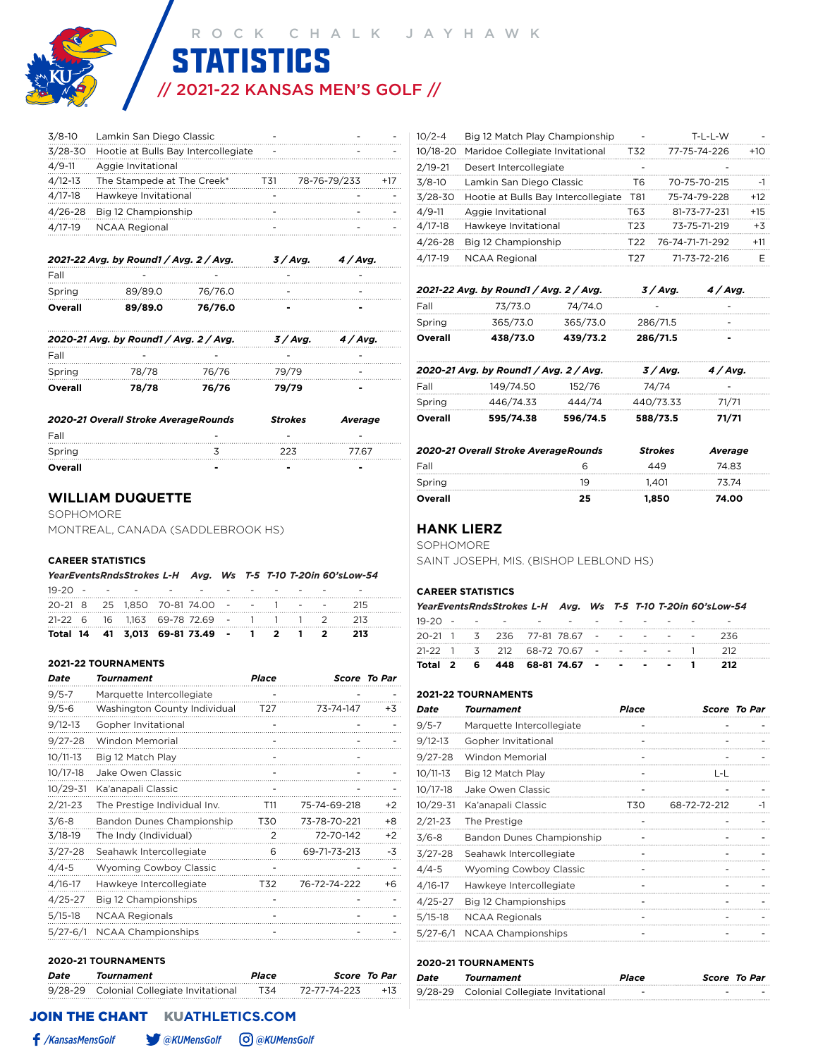# // 2021-22 KANSAS MEN'S GOLF // **STATISTICS**

|            | 3/8-10 Lamkin San Diego Classic             |     |              |     |
|------------|---------------------------------------------|-----|--------------|-----|
|            | 3/28-30 Hootie at Bulls Bay Intercollegiate |     |              |     |
| $4/9 - 11$ | Aggie Invitational                          |     |              |     |
|            | 4/12-13 The Stampede at The Creek*          | T31 | 78-76-79/233 | +17 |
| $4/17-18$  | Hawkeye Invitational                        |     |              |     |
|            | 4/26-28 Big 12 Championship                 |     |              |     |
|            | 4/17-19 NCAA Regional                       |     |              |     |

|         | 2021-22 Avg. by Round1 / Avg. 2 / Avg. | 3 / Avg. | 4 / Avg. |   |
|---------|----------------------------------------|----------|----------|---|
| Fall    |                                        |          |          |   |
| Spring  | 89/89.0                                | 76/76.0  |          |   |
| Overall | 89/89.0                                | 76/76.0  | -        | - |

|         | 2020-21 Avg. by Round1 / Avg. 2 / Avg. |       | 3 / Ava. | 4/Avg. |
|---------|----------------------------------------|-------|----------|--------|
| Fall    |                                        |       |          |        |
| Spring  | 78/78                                  | 76/76 | 79/79    |        |
| Overall | 78/78                                  | 76/76 | 79/79    | -      |

| 2020-21 Overall Stroke AverageRounds | <b>Strokes</b> | Average |      |
|--------------------------------------|----------------|---------|------|
| Fall                                 |                |         | -    |
| Spring                               |                | つつて     | 7767 |
| Overall                              |                |         | -    |

#### **WILLIAM DUQUETTE**

SOPHOMORE MONTREAL, CANADA (SADDLEBROOK HS)

#### **CAREER STATISTICS**

| YearEventsRndsStrokes L-H Avg. Ws T-5 T-10 T-20in 60'sLow-54 |  |  |
|--------------------------------------------------------------|--|--|
| -- - -                                                       |  |  |

|  |  | Total 14 41 3,013 69-81 73.49 - 1 2 1 2 213 |  |  |  |  |
|--|--|---------------------------------------------|--|--|--|--|
|  |  | 21-22 6 16 1.163 69-78 72.69 - 1 1 1 2 213  |  |  |  |  |
|  |  | 20-21 8 25 1.850 70-81 74.00 - - 1 - - 215  |  |  |  |  |
|  |  | <u>19-20 - - - - - - - - -</u>              |  |  |  |  |

#### **2021-22 TOURNAMENTS**

| Date         | Tournament                    | <b>Place</b>    |              | Score To Par |
|--------------|-------------------------------|-----------------|--------------|--------------|
| $9/5 - 7$    | Marquette Intercollegiate     |                 |              |              |
| $9/5 - 6$    | Washington County Individual  | T <sub>27</sub> | 73-74-147    | $+3$         |
| $9/12 - 13$  | Gopher Invitational           |                 |              |              |
| $9/27 - 28$  | <b>Windon Memorial</b>        |                 |              |              |
| $10/11-13$   | Big 12 Match Play             |                 |              |              |
| $10/17 - 18$ | Jake Owen Classic             |                 |              |              |
| $10/29 - 31$ | Ka'anapali Classic            |                 |              |              |
| $2/21 - 23$  | The Prestige Individual Inv.  | T11             | 75-74-69-218 | $+2$         |
| $3/6 - 8$    | Bandon Dunes Championship     | T30             | 73-78-70-221 | $+8$         |
| $3/18-19$    | The Indy (Individual)         | 2               | 72-70-142    | $+2$         |
| $3/27 - 28$  | Seahawk Intercollegiate       | 6               | 69-71-73-213 | -3           |
| $4/4 - 5$    | <b>Wyoming Cowboy Classic</b> |                 |              |              |
| $4/16 - 17$  | Hawkeye Intercollegiate       | T32             | 76-72-74-222 | +6           |
| $4/25 - 27$  | Big 12 Championships          |                 |              |              |
| $5/15-18$    | <b>NCAA Regionals</b>         |                 |              |              |
| $5/27 - 6/1$ | <b>NCAA Championships</b>     |                 |              |              |
|              |                               |                 |              |              |

#### **2020-21 TOURNAMENTS**

| Date | Tournament                               | Place |              | Score To Par |
|------|------------------------------------------|-------|--------------|--------------|
|      | 9/28-29 Colonial Collegiate Invitational | T34   | 72-77-74-223 | $+1.5$       |

| $10/2 - 4$  | Big 12 Match Play Championship      |                 | T-L-L-W         |       |
|-------------|-------------------------------------|-----------------|-----------------|-------|
| 10/18-20    | Maridoe Collegiate Invitational     | T32             | 77-75-74-226    | $+10$ |
| $2/19 - 21$ | Desert Intercollegiate              |                 |                 |       |
| $3/8-10$    | Lamkin San Diego Classic            | T6              | 70-75-70-215    | -1    |
| $3/28 - 30$ | Hootie at Bulls Bay Intercollegiate | T81             | 75-74-79-228    | $+12$ |
| $4/9 - 11$  | Aggie Invitational                  | T63             | 81-73-77-231    | $+15$ |
| $4/17 - 18$ | Hawkeye Invitational                | T <sub>23</sub> | 73-75-71-219    | $+3$  |
| $4/26 - 28$ | Big 12 Championship                 | T22             | 76-74-71-71-292 | $+11$ |
| $4/17-19$   | <b>NCAA Regional</b>                | T27             | 71-73-72-216    | F     |
|             |                                     |                 |                 |       |

|         | 2021-22 Avg. by Round1 / Avg. 2 / Avg. | $3/A$ vq. | $4/A$ vq. |                          |  |
|---------|----------------------------------------|-----------|-----------|--------------------------|--|
| Fall    | 73/73.0                                | 74/74.0   |           | -                        |  |
| Spring  | 365/73.0                               | 365/73.0  | 286/71.5  | -                        |  |
| Overall | 438/73.0                               | 439/73.2  | 286/71.5  | $\overline{\phantom{a}}$ |  |

|         | 2020-21 Avg. by Round1 / Avg. 2 / Avg. |          | 3 / Ava.  | 4 / Avg. |  |
|---------|----------------------------------------|----------|-----------|----------|--|
| Fall    | 149/74.50                              | 152/76   | 74/74     |          |  |
| Spring  | 446/74.33                              | 444/74   | 440/73.33 | 71/71    |  |
| Overall | 595/74.38                              | 596/74.5 | 588/73.5  | 71/71    |  |

| 2020-21 Overall Stroke AverageRounds |    | <b>Strokes</b> | Average |
|--------------------------------------|----|----------------|---------|
| Fall                                 |    | 449            | 74 83   |
| Spring                               | 19 | 1401           | 73 74   |
| Overall                              | 25 | 1.850          | 74.00   |

#### **HANK LIERZ**

SOPHOMORE

SAINT JOSEPH, MIS. (BISHOP LEBLOND HS)

#### **CAREER STATISTICS**

|  |  |                                                     |  |  |  | YearEventsRndsStrokes L-H Avg. Ws T-5 T-10 T-20in 60'sLow-54 |  |
|--|--|-----------------------------------------------------|--|--|--|--------------------------------------------------------------|--|
|  |  | 19-20 - - - - - - - - - - - -                       |  |  |  |                                                              |  |
|  |  | 20-21 1 3 236 77-81 78.67 - - - - - -               |  |  |  | - 236                                                        |  |
|  |  | $21-22$ 1 3 212 68-72 70.67 - - - - 1 212           |  |  |  |                                                              |  |
|  |  | Total 2   6   448   68-81 74.67   -   -   -   -   1 |  |  |  | - 212                                                        |  |

#### **2021-22 TOURNAMENTS**

| Date         | Tournament                    | Place |              | <b>Score To Par</b> |
|--------------|-------------------------------|-------|--------------|---------------------|
| $9/5 - 7$    | Marquette Intercollegiate     |       |              |                     |
| $9/12 - 13$  | Gopher Invitational           |       |              |                     |
| $9/27 - 28$  | <b>Windon Memorial</b>        |       |              |                     |
| 10/11-13     | Big 12 Match Play             |       | L-L          |                     |
| 10/17-18     | Jake Owen Classic             |       |              |                     |
| 10/29-31     | Ka'anapali Classic            | T30   | 68-72-72-212 | -1                  |
| $2/21 - 23$  | The Prestige                  |       |              |                     |
| $3/6 - 8$    | Bandon Dunes Championship     |       |              |                     |
| 3/27-28      | Seahawk Intercollegiate       |       |              |                     |
| $4/4 - 5$    | <b>Wyoming Cowboy Classic</b> |       |              |                     |
| 4/16-17      | Hawkeye Intercollegiate       |       |              |                     |
| $4/25 - 27$  | Big 12 Championships          |       |              |                     |
| $5/15-18$    | <b>NCAA Regionals</b>         |       |              |                     |
| $5/27 - 6/1$ | <b>NCAA Championships</b>     |       |              |                     |

#### **2020-21 TOURNAMENTS**

| Date | Tournament                               | Place | <b>Score To Par</b> |
|------|------------------------------------------|-------|---------------------|
|      | 9/28-29 Colonial Collegiate Invitational | -     | -                   |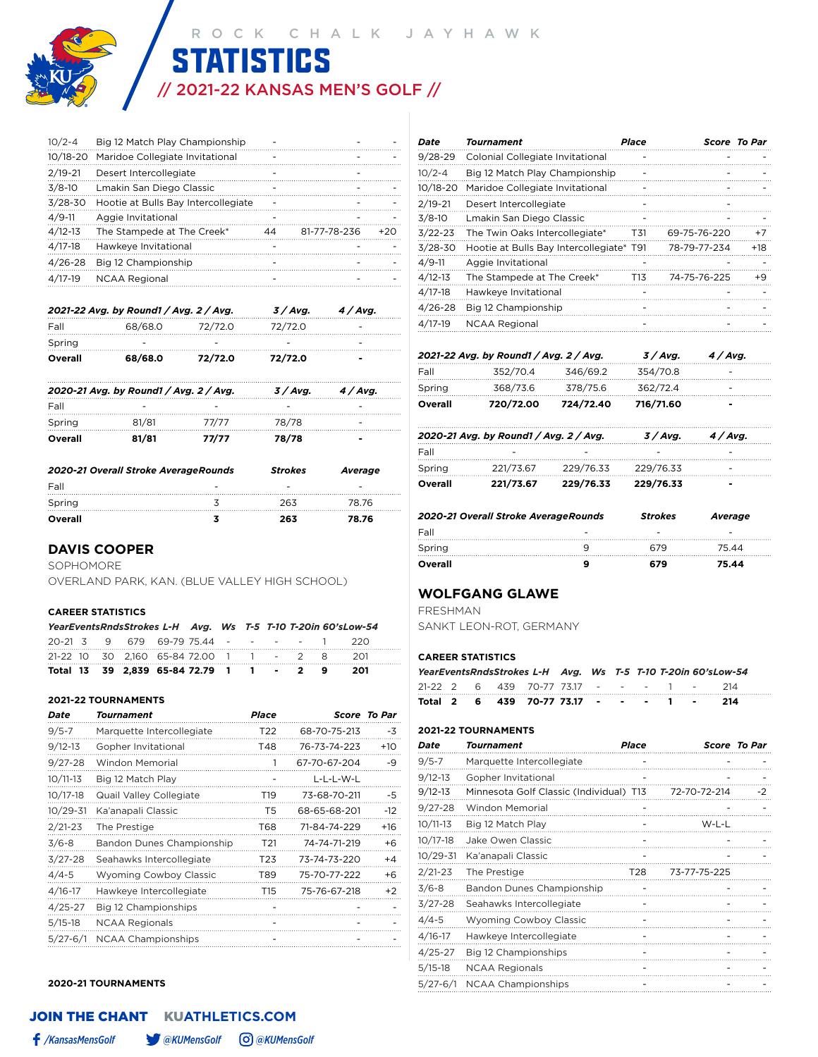# // 2021-22 KANSAS MEN'S GOLF // **STATISTICS**

| $10/2 - 4$  | Big 12 Match Play Championship      |    |              |       |
|-------------|-------------------------------------|----|--------------|-------|
| 10/18-20    | Maridoe Collegiate Invitational     |    |              |       |
| $2/19 - 21$ | Desert Intercollegiate              |    |              |       |
| $3/8-10$    | Lmakin San Diego Classic            |    |              |       |
| $3/28 - 30$ | Hootie at Bulls Bay Intercollegiate |    |              |       |
| $4/9 - 11$  | Aggie Invitational                  |    |              |       |
| $4/12 - 13$ | The Stampede at The Creek*          | 44 | 81-77-78-236 | $+20$ |
| $4/17 - 18$ | Hawkeye Invitational                |    |              |       |
| $4/26 - 28$ | Big 12 Championship                 |    |              |       |
| $4/17-19$   | <b>NCAA Regional</b>                |    |              |       |

|         | 2021-22 Avg. by Round1 / Avg. 2 / Avg. | 3/Avg.  | 4/Avg.  |   |
|---------|----------------------------------------|---------|---------|---|
| Fall    | 68/68.0                                | 72/72.0 | 72/72.0 |   |
| Spring  |                                        |         |         |   |
| Overall | 68/68.0                                | 72/72.0 | 72/72.0 | - |
|         |                                        |         |         |   |

|         | 2020-21 Avg. by Round1 / Avg. 2 / Avg. | 3 / Avg. | 4 / Avg. |  |
|---------|----------------------------------------|----------|----------|--|
| Fall    |                                        |          |          |  |
| Spring  | 81/81                                  | 77/77    | 78/78    |  |
| Overall | 81/81                                  | 77/77    | 78/78    |  |

| 2020-21 Overall Stroke AverageRounds | <b>Strokes</b> | Average |
|--------------------------------------|----------------|---------|
| Fall                                 |                |         |
| Spring                               | 263            | 78 76   |
| Overall                              | 263            | 78.76   |

#### **DAVIS COOPER**

SOPHOMORE

OVERLAND PARK, KAN. (BLUE VALLEY HIGH SCHOOL)

#### **CAREER STATISTICS**

|  | YearEventsRndsStrokes L-H Avg. Ws T-5 T-10 T-20in 60'sLow-54 |  |  |  |  |
|--|--------------------------------------------------------------|--|--|--|--|
|  | 20-21 3 9 679 69-79 75.44 - - - - 1 220                      |  |  |  |  |
|  | 21-22 10 30 2.160 65-84 72.00 1 1 - 2 8 201                  |  |  |  |  |
|  | Total 13 39 2.839 65-84 72.79 1 1 - 2 9 201                  |  |  |  |  |

#### **2021-22 TOURNAMENTS**

| Date         | Tournament                    | Place           |              | <b>Score To Par</b> |
|--------------|-------------------------------|-----------------|--------------|---------------------|
| $9/5 - 7$    | Marquette Intercollegiate     | T22             | 68-70-75-213 | -3                  |
| $9/12 - 13$  | Gopher Invitational           | T48             | 76-73-74-223 | $+10$               |
| $9/27 - 28$  | Windon Memorial               |                 | 67-70-67-204 | -9                  |
| $10/11-13$   | Big 12 Match Play             |                 | L-L-L-W-L    |                     |
| $10/17 - 18$ | Quail Valley Collegiate       | T <sub>19</sub> | 73-68-70-211 | -5                  |
| $10/29 - 31$ | Ka'anapali Classic            | T5              | 68-65-68-201 | $-12$               |
| $2/21 - 23$  | The Prestige                  | T68             | 71-84-74-229 | +16                 |
| $3/6 - 8$    | Bandon Dunes Championship     | T <sub>21</sub> | 74-74-71-219 | $+6$                |
| $3/27 - 28$  | Seahawks Intercollegiate      | T23             | 73-74-73-220 | $+4$                |
| $4/4 - 5$    | <b>Wyoming Cowboy Classic</b> | T89             | 75-70-77-222 | +6                  |
| $4/16 - 17$  | Hawkeye Intercollegiate       | T <sub>15</sub> | 75-76-67-218 | $+2$                |
| $4/25 - 27$  | Big 12 Championships          |                 |              |                     |
| $5/15-18$    | <b>NCAA Regionals</b>         |                 |              |                     |
| $5/27 - 6/1$ | <b>NCAA Championships</b>     |                 |              |                     |

#### **2020-21 TOURNAMENTS**

| Date        | Tournament                               | Place |              | Score To Par |
|-------------|------------------------------------------|-------|--------------|--------------|
| $9/28 - 29$ | Colonial Collegiate Invitational         |       |              |              |
| $10/2 - 4$  | Big 12 Match Play Championship           |       |              |              |
| 10/18-20    | Maridoe Collegiate Invitational          |       |              |              |
| $2/19 - 21$ | Desert Intercollegiate                   |       |              |              |
| $3/8-10$    | Lmakin San Diego Classic                 |       |              |              |
| $3/22 - 23$ | The Twin Oaks Intercollegiate*           | T31   | 69-75-76-220 | $+7$         |
| $3/28 - 30$ | Hootie at Bulls Bay Intercollegiate* T91 |       | 78-79-77-234 | +18          |
| $4/9 - 11$  | Aggie Invitational                       |       |              |              |
| $4/12 - 13$ | The Stampede at The Creek*               | T13   | 74-75-76-225 | +9           |
| $4/17-18$   | Hawkeye Invitational                     |       |              |              |
| $4/26 - 28$ | Big 12 Championship                      |       |              |              |
| $4/17-19$   | <b>NCAA Regional</b>                     |       |              |              |

|         | 2021-22 Avg. by Round1 / Avg. 2 / Avg. |           | 3 / Avg.  | 4 / Avg. |
|---------|----------------------------------------|-----------|-----------|----------|
| Fall    | 352/70.4                               | 346/69.2  | 354/70.8  |          |
| Spring  | 368/73.6                               | 378/75.6  | 362/72.4  |          |
| Overall | 720/72.00                              | 724/72.40 | 716/71.60 | -        |

|         | 2020-21 Avg. by Round1 / Avg. 2 / Avg. |                               | 3 / Ava.  | 4 / Ava. |
|---------|----------------------------------------|-------------------------------|-----------|----------|
|         |                                        |                               |           |          |
| Fall    |                                        |                               |           |          |
| Spring  |                                        | 221/73.67 229/76.33 229/76.33 |           |          |
| Overall | 221/73.67                              | 229/76.33                     | 229/76.33 | -        |

| 2020-21 Overall Stroke AverageRounds | <b>Strokes</b> | Average |
|--------------------------------------|----------------|---------|
| Fall                                 |                |         |
| Spring                               | 679            | 75 44   |
| Overall                              | 679.           | 75.44   |

### **WOLFGANG GLAWE**

FRESHMAN

SANKT LEON-ROT, GERMANY

#### **CAREER STATISTICS**

|  |  |                                                 |  |  |  | YearEventsRndsStrokes L-H Avg. Ws T-5 T-10 T-20in 60'sLow-54 |
|--|--|-------------------------------------------------|--|--|--|--------------------------------------------------------------|
|  |  | 21-22 2 6 439 70-77 73.17 - - - - 1 -           |  |  |  | - 214                                                        |
|  |  | Total 2  6  439  70-77 73.17  -   -   -   1   - |  |  |  | -214                                                         |

#### **2021-22 TOURNAMENTS**

| Date         | Tournament                              | Place |              | Score To Par |
|--------------|-----------------------------------------|-------|--------------|--------------|
| $9/5 - 7$    | Marquette Intercollegiate               |       |              |              |
| $9/12 - 13$  | Gopher Invitational                     |       |              |              |
| $9/12 - 13$  | Minnesota Golf Classic (Individual) T13 |       | 72-70-72-214 | -2           |
| $9/27 - 28$  | Windon Memorial                         |       |              |              |
| $10/11-13$   | Big 12 Match Play                       |       | W-L-L        |              |
| $10/17 - 18$ | Jake Owen Classic                       |       |              |              |
| $10/29 - 31$ | Ka'anapali Classic                      |       |              |              |
| $2/21 - 23$  | The Prestige                            | T28   | 73-77-75-225 |              |
| $3/6 - 8$    | Bandon Dunes Championship               |       |              |              |
| $3/27 - 28$  | Seahawks Intercollegiate                |       |              |              |
| $4/4 - 5$    | <b>Wyoming Cowboy Classic</b>           |       |              |              |
| $4/16 - 17$  | Hawkeye Intercollegiate                 |       |              |              |
| $4/25 - 27$  | Big 12 Championships                    |       |              |              |
| $5/15-18$    | <b>NCAA Regionals</b>                   |       |              |              |
| $5/27 - 6/1$ | <b>NCAA Championships</b>               |       |              |              |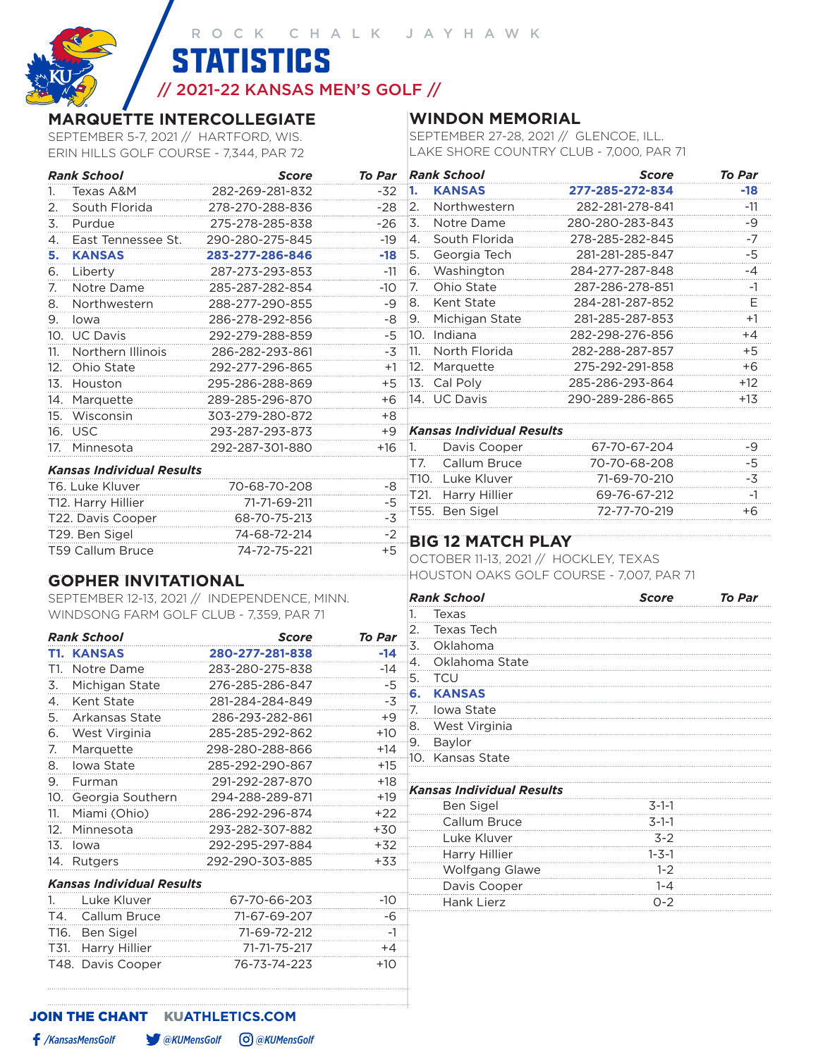// 2021-22 KANSAS MEN'S GOLF //

**STATISTICS** 

# **MARQUETTE INTERCOLLEGIATE**

SEPTEMBER 5-7, 2021 // HARTFORD, WIS. ERIN HILLS GOLF COURSE - 7,344, PAR 72

# **WINDON MEMORIAL**

SEPTEMBER 27-28, 2021 // GLENCOE, ILL. LAKE SHORE COUNTRY CLUB - 7,000, PAR 71

|     | <b>Rank School</b>               | <b>Score</b>    |                  |                  | To Par Rank School                  | <b>Score</b>    | To Par    |
|-----|----------------------------------|-----------------|------------------|------------------|-------------------------------------|-----------------|-----------|
|     | Texas A&M                        | 282-269-281-832 | -32              | -1.              | <b>KANSAS</b>                       | 277-285-272-834 | -18       |
|     | South Florida                    | 278-270-288-836 | $-28$            | 2.               | Northwestern                        | 282-281-278-841 | $-11$     |
| 3.  | Purdue                           | 275-278-285-838 | $-26$            | 3.               | Notre Dame                          | 280-280-283-843 | -9        |
| 4.  | East Tennessee St.               | 290-280-275-845 | $-19$            | $\overline{4}$ . | South Florida                       | 278-285-282-845 | $-7$<br>. |
| 5.  | <b>KANSAS</b>                    | 283-277-286-846 | $-18$            | <sup>5.</sup>    | Georgia Tech                        | 281-281-285-847 | -5        |
| 6.  | Liberty                          | 287-273-293-853 | $-11$            | 6.               | Washington                          | 284-277-287-848 | -4        |
| 7.  | Notre Dame                       | 285-287-282-854 | $-10$            | $\overline{7}$ . | Ohio State                          | 287-286-278-851 | $-1$      |
| 8.  | Northwestern                     | 288-277-290-855 | -9               | 8.               | Kent State                          | 284-281-287-852 | Е<br>.    |
| 9.  | lowa                             | 286-278-292-856 | -8               | <u>9.</u>        | Michigan State                      | 281-285-287-853 | $+1$      |
| 10. | <b>UC Davis</b>                  | 292-279-288-859 | -5               |                  | 10. Indiana                         | 282-298-276-856 | $+4$      |
|     | Northern Illinois                | 286-282-293-861 | $-3\overline{5}$ |                  | 11. North Florida                   | 282-288-287-857 | +5        |
| 12. | Ohio State                       | 292-277-296-865 | $+1$             |                  | 12. Marquette                       | 275-292-291-858 | $+6$      |
| 13. | Houston                          | 295-286-288-869 | $+5$             |                  | 13. Cal Poly                        | 285-286-293-864 | $+12$     |
| 14. | Marquette                        | 289-285-296-870 | $+6$             |                  | 14. UC Davis                        | 290-289-286-865 | $+13$     |
| 15. | Wisconsin                        | 303-279-280-872 | $+8$             |                  |                                     |                 |           |
|     | 16. USC                          | 293-287-293-873 | $+9$             |                  | <b>Kansas Individual Results</b>    |                 |           |
| 17. | Minnesota                        | 292-287-301-880 | $+16$            | $\overline{1}$ . | Davis Cooper                        | 67-70-67-204    | -9        |
|     | <b>Kansas Individual Results</b> |                 |                  | T7.              | Callum Bruce                        | 70-70-68-208    | -5        |
|     | T6. Luke Kluver                  | 70-68-70-208    | -8               | T10.             | Luke Kluver                         | 71-69-70-210    | -3        |
|     | T12. Harry Hillier               | 71-71-69-211    | $-5$             |                  | Harry Hillier                       | 69-76-67-212    | $-1$      |
|     |                                  |                 | $-3$             |                  | 55. Ben Sigel                       | 72-77-70-219    | +6        |
|     | T22. Davis Cooper                | 68-70-75-213    |                  |                  |                                     |                 |           |
|     | T29. Ben Sigel                   | 74-68-72-214    | $-2$<br>$+5$     |                  | <b>BIG 12 MATCH PLAY</b>            |                 |           |
|     | T59 Callum Bruce                 | 74-72-75-221    |                  |                  | OCTORER 11-13 2021 // HOCKLEY TEXAS |                 |           |

# **GOPHER INVITATIONAL**

SEPTEMBER 12-13, 2021 // INDEPENDENCE, MINN. WINDSONG FARM GOLF CLUB - 7,359, PAR 71

|      | <b>Rank School</b>               | Score           | To Par |
|------|----------------------------------|-----------------|--------|
|      | <b>T1. KANSAS</b>                | 280-277-281-838 | -14    |
| T1.  | Notre Dame                       | 283-280-275-838 | -14    |
| 3.   | Michigan State                   | 276-285-286-847 | -5     |
| 4.   | Kent State                       | 281-284-284-849 | -3     |
| 5.   | Arkansas State                   | 286-293-282-861 | +9     |
| 6.   | West Virginia                    | 285-285-292-862 | $+10$  |
| 7.   | Marquette                        | 298-280-288-866 | $+14$  |
| 8.   | lowa State                       | 285-292-290-867 | $+15$  |
| 9.   | Furman                           | 291-292-287-870 | +18    |
|      | 10. Georgia Southern             | 294-288-289-871 | $+19$  |
| 11.  | Miami (Ohio)                     | 286-292-296-874 | $+22$  |
| 12.  | Minnesota                        | 293-282-307-882 | +30    |
| 13.  | lowa                             | 292-295-297-884 | $+32$  |
|      | 14. Rutgers                      | 292-290-303-885 | $+33$  |
|      | <b>Kansas Individual Results</b> |                 |        |
| 1.   | Luke Kluver                      | 67-70-66-203    | -10    |
| T4.  | Callum Bruce                     | 71-67-69-207    | -6     |
| T16. | Ben Sigel                        | 71-69-72-212    | $-1$   |
| T31. | Harry Hillier                    | 71-71-75-217    | $+4$   |
| T48. | Davis Cooper                     | 76-73-74-223    | $+10$  |

# OBER 11-13, 2021 // HOCKLEY, TEXAS HOUSTON OAKS GOLF COURSE - 7,007, PAR 71

|     | <b>Rank School</b>               | <b>Score</b> | <b>To Par</b> |
|-----|----------------------------------|--------------|---------------|
| 1.  | Texas                            |              |               |
| 2.  | Texas Tech                       |              |               |
| -3. | Oklahoma                         |              |               |
| ∙4. | Oklahoma State                   |              |               |
| -5. | <b>TCU</b>                       |              |               |
| ŀ6. | <b>KANSAS</b>                    |              |               |
| -7. | Iowa State                       |              |               |
| 8.  | West Virginia                    |              |               |
| ۰9. | Baylor                           |              |               |
|     | 10. Kansas State                 |              |               |
|     |                                  |              |               |
|     | <b>Kansas Individual Results</b> |              |               |
|     | Ben Sigel                        | $3 - 1 - 1$  |               |
|     | Callum Bruce                     | $3 - 1 - 1$  |               |
|     | Luke Kluver                      | $3 - 2$      |               |
|     | Harry Hillier                    | $1 - 3 - 1$  |               |
|     | <b>Wolfgang Glawe</b>            | $1 - 2$      |               |
|     | Davis Cooper                     | $1 - 4$      |               |
|     | Hank Lierz                       | $O - 2$      |               |
|     |                                  |              |               |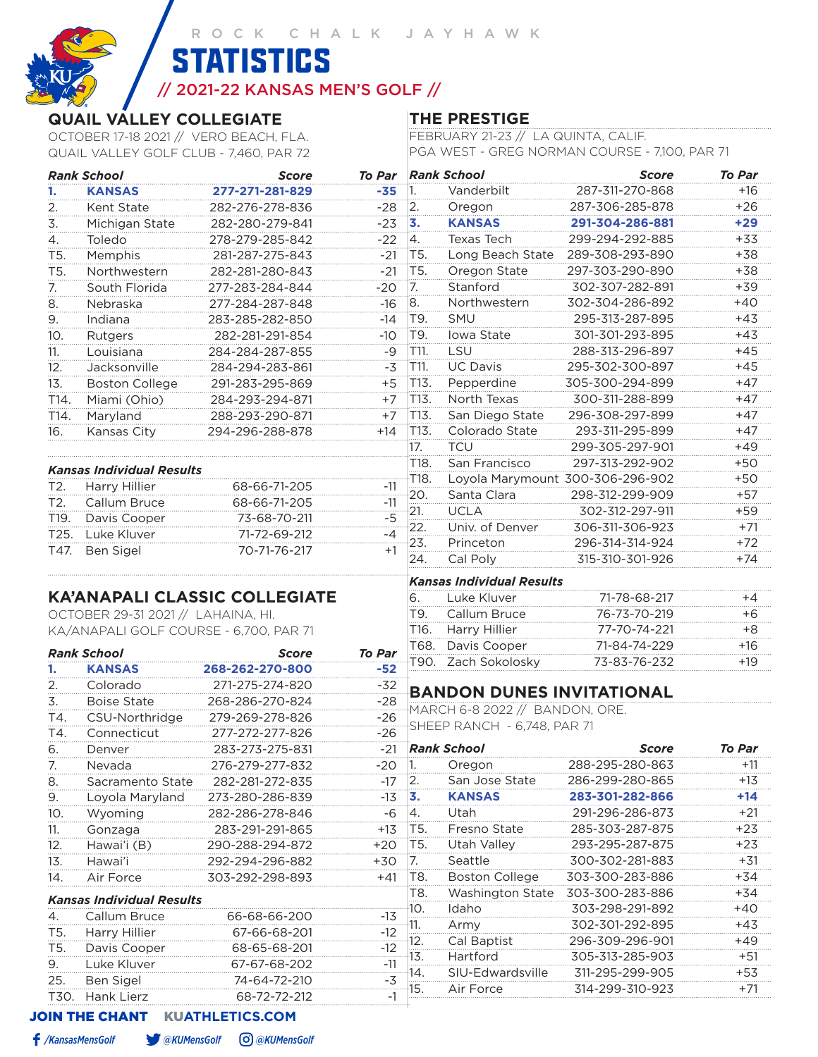**STATISTICS** 

# // 2021-22 KANSAS MEN'S GOLF //

# **QUAIL VALLEY COLLEGIATE**

OCTOBER 17-18 2021 // VERO BEACH, FLA. QUAIL VALLEY GOLF CLUB - 7,460, PAR 72

# **THE PRESTIGE**

FEBRUARY 21-23 // LA QUINTA, CALIF. PGA WEST - GREG NORMAN COURSE - 7,100, PAR 71

| Vanderbilt<br>287-311-270-868<br>$+16$<br><b>KANSAS</b><br>277-271-281-829<br>-35<br>$\overline{1}$ .<br>Kent State<br> 2.<br>287-306-285-878<br>$+26$<br>282-276-278-836<br>$-28$<br>Oregon<br>13.<br><b>KANSAS</b><br>$+29$<br>Michigan State<br>282-280-279-841<br>$-23$<br>291-304-286-881<br>$-22$<br>Texas Tech<br>299-294-292-885<br>$+33$<br>Toledo<br>278-279-285-842<br> 4.<br>Memphis<br>T5.<br>Long Beach State<br>289-308-293-890<br>+38<br>281-287-275-843<br>-21<br>Oregon State<br>Northwestern<br>T5.<br>297-303-290-890<br>$+38$<br>282-281-280-843<br>-21<br>Stanford<br>South Florida<br>$\overline{7}$ .<br>302-307-282-891<br>+39<br>277-283-284-844<br>$-20$<br>8.<br>Northwestern<br>302-304-286-892<br>$+40$<br>Nebraska<br>277-284-287-848<br>-16<br>SMU<br>Indiana<br>T9.<br>295-313-287-895<br>$+43$<br>283-285-282-850<br>-14<br>T9.<br>Iowa State<br>301-301-293-895<br>$+43$<br>Rutgers<br>282-281-291-854<br>-10<br>LSU<br>T11.<br>288-313-296-897<br>$+45$<br>Louisiana<br>284-284-287-855<br>-9<br>T11.<br><b>UC Davis</b><br>Jacksonville<br>295-302-300-897<br>$+45$<br>284-294-283-861<br>-3<br>T13.<br>Pepperdine<br>305-300-294-899<br>$+47$<br><b>Boston College</b><br>291-283-295-869<br>+5<br>North Texas<br>Miami (Ohio)<br>T13.<br>300-311-288-899<br>$+47$<br>284-293-294-871<br>$+7$<br>Maryland<br>T13.<br>San Diego State<br>296-308-297-899<br>$+47$<br>288-293-290-871<br>$+7$<br>Colorado State<br>T13.<br>293-311-295-899<br>$+47$<br>Kansas City<br>294-296-288-878<br>+14<br><b>TCU</b><br>$+49$<br>17.<br>299-305-297-901<br>San Francisco<br>T18.<br>297-313-292-902<br>$+50$<br><b>Kansas Individual Results</b><br>T18.<br>Loyola Marymount 300-306-296-902<br>$+50$<br>Harry Hillier<br>68-66-71-205<br>Т2.<br>-11<br>Santa Clara<br>20.<br>298-312-299-909<br>$+57$<br>Callum Bruce<br>68-66-71-205<br>T2.<br>-11<br>$+59$<br>21.<br><b>UCLA</b><br>302-312-297-911<br>$-5$<br>Davis Cooper<br>T19.<br>73-68-70-211<br>Univ. of Denver<br>22.<br>306-311-306-923<br>$+71$<br>Luke Kluver<br>T25.<br>71-72-69-212<br>$-4$<br>23.<br>Princeton<br>$+72$<br>296-314-314-924<br>T47.<br>Ben Sigel<br>70-71-76-217<br>$+1$<br>24.<br>Cal Poly<br>315-310-301-926<br>$+74$<br><b>Kansas Individual Results</b><br><b>KA'ANAPALI CLASSIC COLLEGIATE</b><br>Luke Kluver<br>71-78-68-217<br>+4<br>6.<br>OCTOBER 29-31 2021 // LAHAINA, HI.<br>Callum Bruce<br>76-73-70-219<br>$+6$<br>T9.<br>Harry Hillier<br>$+8$<br>KA/ANAPALI GOLF COURSE - 6,700, PAR 71<br>T16.<br>77-70-74-221<br>Davis Cooper<br>T68.<br>$+16$<br>71-84-74-229<br><b>Rank School</b><br>To Par<br><b>Score</b><br>Zach Sokolosky<br>+19<br>T90.<br>73-83-76-232<br><b>KANSAS</b><br>268-262-270-800<br>-52<br>Colorado<br>271-275-274-820<br>$-32$<br><b>BANDON DUNES INVITATIONAL</b><br><b>Boise State</b><br>268-286-270-824<br>-28<br>MARCH 6-8 2022 // BANDON, ORE.<br>CSU-Northridge<br>279-269-278-826<br>$-26$<br>SHEEP RANCH - 6,748, PAR 71<br>277-272-277-826<br>$-26$<br>Connecticut<br><b>Rank School</b><br>To Par<br>283-273-275-831<br>Score<br>-21<br>Denver<br>288-295-280-863<br>276-279-277-832<br>$-20$<br>Nevada<br>$+11$<br> 1.<br>Oregon<br>San Jose State<br>286-299-280-865<br>$+13$<br>282-281-272-835<br> 2.<br>-17<br>Sacramento State<br><b>KANSAS</b><br>283-301-282-866<br>Loyola Maryland<br>$+14$<br>273-280-286-839<br>$-13$<br>3.<br>Utah<br>291-296-286-873<br>$+21$<br>282-286-278-846<br>4.<br>Wyoming<br>-6<br>285-303-287-875<br>Fresno State<br>T5.<br>$+23$<br>283-291-291-865<br>$+13$<br>Gonzaga<br>Utah Valley<br>T5.<br>293-295-287-875<br>290-288-294-872<br>$+23$<br>Hawai'i (B)<br>$+20$<br>300-302-281-883<br>Seattle<br>292-294-296-882<br>$+31$<br>Hawai'i<br>$+30$<br>7.<br><b>Boston College</b><br>303-300-283-886<br>303-292-298-893<br>T8.<br>+34<br>Air Force<br>+41<br>Washington State<br>303-300-283-886<br>T8.<br>+34<br><b>Kansas Individual Results</b><br>10.<br>Idaho<br>303-298-291-892<br>$+40$<br>66-68-66-200<br>Callum Bruce<br>$-13$<br>4.<br>302-301-292-895<br>Army<br>+43<br>11.<br>Harry Hillier<br>67-66-68-201<br>$-12$<br>T5.<br>Cal Baptist<br>296-309-296-901<br>12.<br>+49<br>Davis Cooper<br>68-65-68-201<br>T5.<br>$-12$<br>Hartford<br>305-313-285-903<br>13.<br>$+51$<br>Luke Kluver<br>67-67-68-202<br>9.<br>-11 |            | <b>Rank School</b> | Score        |      | To Par Rank School | <b>Score</b>    | To Par |
|-------------------------------------------------------------------------------------------------------------------------------------------------------------------------------------------------------------------------------------------------------------------------------------------------------------------------------------------------------------------------------------------------------------------------------------------------------------------------------------------------------------------------------------------------------------------------------------------------------------------------------------------------------------------------------------------------------------------------------------------------------------------------------------------------------------------------------------------------------------------------------------------------------------------------------------------------------------------------------------------------------------------------------------------------------------------------------------------------------------------------------------------------------------------------------------------------------------------------------------------------------------------------------------------------------------------------------------------------------------------------------------------------------------------------------------------------------------------------------------------------------------------------------------------------------------------------------------------------------------------------------------------------------------------------------------------------------------------------------------------------------------------------------------------------------------------------------------------------------------------------------------------------------------------------------------------------------------------------------------------------------------------------------------------------------------------------------------------------------------------------------------------------------------------------------------------------------------------------------------------------------------------------------------------------------------------------------------------------------------------------------------------------------------------------------------------------------------------------------------------------------------------------------------------------------------------------------------------------------------------------------------------------------------------------------------------------------------------------------------------------------------------------------------------------------------------------------------------------------------------------------------------------------------------------------------------------------------------------------------------------------------------------------------------------------------------------------------------------------------------------------------------------------------------------------------------------------------------------------------------------------------------------------------------------------------------------------------------------------------------------------------------------------------------------------------------------------------------------------------------------------------------------------------------------------------------------------------------------------------------------------------------------------------------------------------------------------------------------------------------------------------------------------------------------------------------------------------------------------------------------------------------------------------------------------------------------------------------------------------------------------------------------------------------------------------------------------------------------------------------------------------------------------------------------------------------------------------------------------------------------------------------------------------------------------------------------------------|------------|--------------------|--------------|------|--------------------|-----------------|--------|
|                                                                                                                                                                                                                                                                                                                                                                                                                                                                                                                                                                                                                                                                                                                                                                                                                                                                                                                                                                                                                                                                                                                                                                                                                                                                                                                                                                                                                                                                                                                                                                                                                                                                                                                                                                                                                                                                                                                                                                                                                                                                                                                                                                                                                                                                                                                                                                                                                                                                                                                                                                                                                                                                                                                                                                                                                                                                                                                                                                                                                                                                                                                                                                                                                                                                                                                                                                                                                                                                                                                                                                                                                                                                                                                                                                                                                                                                                                                                                                                                                                                                                                                                                                                                                                                                                                                                     | 1.         |                    |              |      |                    |                 |        |
|                                                                                                                                                                                                                                                                                                                                                                                                                                                                                                                                                                                                                                                                                                                                                                                                                                                                                                                                                                                                                                                                                                                                                                                                                                                                                                                                                                                                                                                                                                                                                                                                                                                                                                                                                                                                                                                                                                                                                                                                                                                                                                                                                                                                                                                                                                                                                                                                                                                                                                                                                                                                                                                                                                                                                                                                                                                                                                                                                                                                                                                                                                                                                                                                                                                                                                                                                                                                                                                                                                                                                                                                                                                                                                                                                                                                                                                                                                                                                                                                                                                                                                                                                                                                                                                                                                                                     | 2.         |                    |              |      |                    |                 |        |
|                                                                                                                                                                                                                                                                                                                                                                                                                                                                                                                                                                                                                                                                                                                                                                                                                                                                                                                                                                                                                                                                                                                                                                                                                                                                                                                                                                                                                                                                                                                                                                                                                                                                                                                                                                                                                                                                                                                                                                                                                                                                                                                                                                                                                                                                                                                                                                                                                                                                                                                                                                                                                                                                                                                                                                                                                                                                                                                                                                                                                                                                                                                                                                                                                                                                                                                                                                                                                                                                                                                                                                                                                                                                                                                                                                                                                                                                                                                                                                                                                                                                                                                                                                                                                                                                                                                                     | 3.         |                    |              |      |                    |                 |        |
|                                                                                                                                                                                                                                                                                                                                                                                                                                                                                                                                                                                                                                                                                                                                                                                                                                                                                                                                                                                                                                                                                                                                                                                                                                                                                                                                                                                                                                                                                                                                                                                                                                                                                                                                                                                                                                                                                                                                                                                                                                                                                                                                                                                                                                                                                                                                                                                                                                                                                                                                                                                                                                                                                                                                                                                                                                                                                                                                                                                                                                                                                                                                                                                                                                                                                                                                                                                                                                                                                                                                                                                                                                                                                                                                                                                                                                                                                                                                                                                                                                                                                                                                                                                                                                                                                                                                     | 4.         |                    |              |      |                    |                 |        |
|                                                                                                                                                                                                                                                                                                                                                                                                                                                                                                                                                                                                                                                                                                                                                                                                                                                                                                                                                                                                                                                                                                                                                                                                                                                                                                                                                                                                                                                                                                                                                                                                                                                                                                                                                                                                                                                                                                                                                                                                                                                                                                                                                                                                                                                                                                                                                                                                                                                                                                                                                                                                                                                                                                                                                                                                                                                                                                                                                                                                                                                                                                                                                                                                                                                                                                                                                                                                                                                                                                                                                                                                                                                                                                                                                                                                                                                                                                                                                                                                                                                                                                                                                                                                                                                                                                                                     | T5.        |                    |              |      |                    |                 |        |
|                                                                                                                                                                                                                                                                                                                                                                                                                                                                                                                                                                                                                                                                                                                                                                                                                                                                                                                                                                                                                                                                                                                                                                                                                                                                                                                                                                                                                                                                                                                                                                                                                                                                                                                                                                                                                                                                                                                                                                                                                                                                                                                                                                                                                                                                                                                                                                                                                                                                                                                                                                                                                                                                                                                                                                                                                                                                                                                                                                                                                                                                                                                                                                                                                                                                                                                                                                                                                                                                                                                                                                                                                                                                                                                                                                                                                                                                                                                                                                                                                                                                                                                                                                                                                                                                                                                                     | T5.        |                    |              |      |                    |                 |        |
|                                                                                                                                                                                                                                                                                                                                                                                                                                                                                                                                                                                                                                                                                                                                                                                                                                                                                                                                                                                                                                                                                                                                                                                                                                                                                                                                                                                                                                                                                                                                                                                                                                                                                                                                                                                                                                                                                                                                                                                                                                                                                                                                                                                                                                                                                                                                                                                                                                                                                                                                                                                                                                                                                                                                                                                                                                                                                                                                                                                                                                                                                                                                                                                                                                                                                                                                                                                                                                                                                                                                                                                                                                                                                                                                                                                                                                                                                                                                                                                                                                                                                                                                                                                                                                                                                                                                     | 7.         |                    |              |      |                    |                 |        |
|                                                                                                                                                                                                                                                                                                                                                                                                                                                                                                                                                                                                                                                                                                                                                                                                                                                                                                                                                                                                                                                                                                                                                                                                                                                                                                                                                                                                                                                                                                                                                                                                                                                                                                                                                                                                                                                                                                                                                                                                                                                                                                                                                                                                                                                                                                                                                                                                                                                                                                                                                                                                                                                                                                                                                                                                                                                                                                                                                                                                                                                                                                                                                                                                                                                                                                                                                                                                                                                                                                                                                                                                                                                                                                                                                                                                                                                                                                                                                                                                                                                                                                                                                                                                                                                                                                                                     | 8.         |                    |              |      |                    |                 |        |
|                                                                                                                                                                                                                                                                                                                                                                                                                                                                                                                                                                                                                                                                                                                                                                                                                                                                                                                                                                                                                                                                                                                                                                                                                                                                                                                                                                                                                                                                                                                                                                                                                                                                                                                                                                                                                                                                                                                                                                                                                                                                                                                                                                                                                                                                                                                                                                                                                                                                                                                                                                                                                                                                                                                                                                                                                                                                                                                                                                                                                                                                                                                                                                                                                                                                                                                                                                                                                                                                                                                                                                                                                                                                                                                                                                                                                                                                                                                                                                                                                                                                                                                                                                                                                                                                                                                                     | 9.         |                    |              |      |                    |                 |        |
|                                                                                                                                                                                                                                                                                                                                                                                                                                                                                                                                                                                                                                                                                                                                                                                                                                                                                                                                                                                                                                                                                                                                                                                                                                                                                                                                                                                                                                                                                                                                                                                                                                                                                                                                                                                                                                                                                                                                                                                                                                                                                                                                                                                                                                                                                                                                                                                                                                                                                                                                                                                                                                                                                                                                                                                                                                                                                                                                                                                                                                                                                                                                                                                                                                                                                                                                                                                                                                                                                                                                                                                                                                                                                                                                                                                                                                                                                                                                                                                                                                                                                                                                                                                                                                                                                                                                     | 10.        |                    |              |      |                    |                 |        |
|                                                                                                                                                                                                                                                                                                                                                                                                                                                                                                                                                                                                                                                                                                                                                                                                                                                                                                                                                                                                                                                                                                                                                                                                                                                                                                                                                                                                                                                                                                                                                                                                                                                                                                                                                                                                                                                                                                                                                                                                                                                                                                                                                                                                                                                                                                                                                                                                                                                                                                                                                                                                                                                                                                                                                                                                                                                                                                                                                                                                                                                                                                                                                                                                                                                                                                                                                                                                                                                                                                                                                                                                                                                                                                                                                                                                                                                                                                                                                                                                                                                                                                                                                                                                                                                                                                                                     | 11.        |                    |              |      |                    |                 |        |
|                                                                                                                                                                                                                                                                                                                                                                                                                                                                                                                                                                                                                                                                                                                                                                                                                                                                                                                                                                                                                                                                                                                                                                                                                                                                                                                                                                                                                                                                                                                                                                                                                                                                                                                                                                                                                                                                                                                                                                                                                                                                                                                                                                                                                                                                                                                                                                                                                                                                                                                                                                                                                                                                                                                                                                                                                                                                                                                                                                                                                                                                                                                                                                                                                                                                                                                                                                                                                                                                                                                                                                                                                                                                                                                                                                                                                                                                                                                                                                                                                                                                                                                                                                                                                                                                                                                                     | 12.        |                    |              |      |                    |                 |        |
|                                                                                                                                                                                                                                                                                                                                                                                                                                                                                                                                                                                                                                                                                                                                                                                                                                                                                                                                                                                                                                                                                                                                                                                                                                                                                                                                                                                                                                                                                                                                                                                                                                                                                                                                                                                                                                                                                                                                                                                                                                                                                                                                                                                                                                                                                                                                                                                                                                                                                                                                                                                                                                                                                                                                                                                                                                                                                                                                                                                                                                                                                                                                                                                                                                                                                                                                                                                                                                                                                                                                                                                                                                                                                                                                                                                                                                                                                                                                                                                                                                                                                                                                                                                                                                                                                                                                     | 13.        |                    |              |      |                    |                 |        |
|                                                                                                                                                                                                                                                                                                                                                                                                                                                                                                                                                                                                                                                                                                                                                                                                                                                                                                                                                                                                                                                                                                                                                                                                                                                                                                                                                                                                                                                                                                                                                                                                                                                                                                                                                                                                                                                                                                                                                                                                                                                                                                                                                                                                                                                                                                                                                                                                                                                                                                                                                                                                                                                                                                                                                                                                                                                                                                                                                                                                                                                                                                                                                                                                                                                                                                                                                                                                                                                                                                                                                                                                                                                                                                                                                                                                                                                                                                                                                                                                                                                                                                                                                                                                                                                                                                                                     | T14.       |                    |              |      |                    |                 |        |
|                                                                                                                                                                                                                                                                                                                                                                                                                                                                                                                                                                                                                                                                                                                                                                                                                                                                                                                                                                                                                                                                                                                                                                                                                                                                                                                                                                                                                                                                                                                                                                                                                                                                                                                                                                                                                                                                                                                                                                                                                                                                                                                                                                                                                                                                                                                                                                                                                                                                                                                                                                                                                                                                                                                                                                                                                                                                                                                                                                                                                                                                                                                                                                                                                                                                                                                                                                                                                                                                                                                                                                                                                                                                                                                                                                                                                                                                                                                                                                                                                                                                                                                                                                                                                                                                                                                                     | T14.       |                    |              |      |                    |                 |        |
|                                                                                                                                                                                                                                                                                                                                                                                                                                                                                                                                                                                                                                                                                                                                                                                                                                                                                                                                                                                                                                                                                                                                                                                                                                                                                                                                                                                                                                                                                                                                                                                                                                                                                                                                                                                                                                                                                                                                                                                                                                                                                                                                                                                                                                                                                                                                                                                                                                                                                                                                                                                                                                                                                                                                                                                                                                                                                                                                                                                                                                                                                                                                                                                                                                                                                                                                                                                                                                                                                                                                                                                                                                                                                                                                                                                                                                                                                                                                                                                                                                                                                                                                                                                                                                                                                                                                     | 16.        |                    |              |      |                    |                 |        |
|                                                                                                                                                                                                                                                                                                                                                                                                                                                                                                                                                                                                                                                                                                                                                                                                                                                                                                                                                                                                                                                                                                                                                                                                                                                                                                                                                                                                                                                                                                                                                                                                                                                                                                                                                                                                                                                                                                                                                                                                                                                                                                                                                                                                                                                                                                                                                                                                                                                                                                                                                                                                                                                                                                                                                                                                                                                                                                                                                                                                                                                                                                                                                                                                                                                                                                                                                                                                                                                                                                                                                                                                                                                                                                                                                                                                                                                                                                                                                                                                                                                                                                                                                                                                                                                                                                                                     |            |                    |              |      |                    |                 |        |
|                                                                                                                                                                                                                                                                                                                                                                                                                                                                                                                                                                                                                                                                                                                                                                                                                                                                                                                                                                                                                                                                                                                                                                                                                                                                                                                                                                                                                                                                                                                                                                                                                                                                                                                                                                                                                                                                                                                                                                                                                                                                                                                                                                                                                                                                                                                                                                                                                                                                                                                                                                                                                                                                                                                                                                                                                                                                                                                                                                                                                                                                                                                                                                                                                                                                                                                                                                                                                                                                                                                                                                                                                                                                                                                                                                                                                                                                                                                                                                                                                                                                                                                                                                                                                                                                                                                                     |            |                    |              |      |                    |                 |        |
|                                                                                                                                                                                                                                                                                                                                                                                                                                                                                                                                                                                                                                                                                                                                                                                                                                                                                                                                                                                                                                                                                                                                                                                                                                                                                                                                                                                                                                                                                                                                                                                                                                                                                                                                                                                                                                                                                                                                                                                                                                                                                                                                                                                                                                                                                                                                                                                                                                                                                                                                                                                                                                                                                                                                                                                                                                                                                                                                                                                                                                                                                                                                                                                                                                                                                                                                                                                                                                                                                                                                                                                                                                                                                                                                                                                                                                                                                                                                                                                                                                                                                                                                                                                                                                                                                                                                     |            |                    |              |      |                    |                 |        |
|                                                                                                                                                                                                                                                                                                                                                                                                                                                                                                                                                                                                                                                                                                                                                                                                                                                                                                                                                                                                                                                                                                                                                                                                                                                                                                                                                                                                                                                                                                                                                                                                                                                                                                                                                                                                                                                                                                                                                                                                                                                                                                                                                                                                                                                                                                                                                                                                                                                                                                                                                                                                                                                                                                                                                                                                                                                                                                                                                                                                                                                                                                                                                                                                                                                                                                                                                                                                                                                                                                                                                                                                                                                                                                                                                                                                                                                                                                                                                                                                                                                                                                                                                                                                                                                                                                                                     |            |                    |              |      |                    |                 |        |
|                                                                                                                                                                                                                                                                                                                                                                                                                                                                                                                                                                                                                                                                                                                                                                                                                                                                                                                                                                                                                                                                                                                                                                                                                                                                                                                                                                                                                                                                                                                                                                                                                                                                                                                                                                                                                                                                                                                                                                                                                                                                                                                                                                                                                                                                                                                                                                                                                                                                                                                                                                                                                                                                                                                                                                                                                                                                                                                                                                                                                                                                                                                                                                                                                                                                                                                                                                                                                                                                                                                                                                                                                                                                                                                                                                                                                                                                                                                                                                                                                                                                                                                                                                                                                                                                                                                                     |            |                    |              |      |                    |                 |        |
|                                                                                                                                                                                                                                                                                                                                                                                                                                                                                                                                                                                                                                                                                                                                                                                                                                                                                                                                                                                                                                                                                                                                                                                                                                                                                                                                                                                                                                                                                                                                                                                                                                                                                                                                                                                                                                                                                                                                                                                                                                                                                                                                                                                                                                                                                                                                                                                                                                                                                                                                                                                                                                                                                                                                                                                                                                                                                                                                                                                                                                                                                                                                                                                                                                                                                                                                                                                                                                                                                                                                                                                                                                                                                                                                                                                                                                                                                                                                                                                                                                                                                                                                                                                                                                                                                                                                     |            |                    |              |      |                    |                 |        |
|                                                                                                                                                                                                                                                                                                                                                                                                                                                                                                                                                                                                                                                                                                                                                                                                                                                                                                                                                                                                                                                                                                                                                                                                                                                                                                                                                                                                                                                                                                                                                                                                                                                                                                                                                                                                                                                                                                                                                                                                                                                                                                                                                                                                                                                                                                                                                                                                                                                                                                                                                                                                                                                                                                                                                                                                                                                                                                                                                                                                                                                                                                                                                                                                                                                                                                                                                                                                                                                                                                                                                                                                                                                                                                                                                                                                                                                                                                                                                                                                                                                                                                                                                                                                                                                                                                                                     |            |                    |              |      |                    |                 |        |
|                                                                                                                                                                                                                                                                                                                                                                                                                                                                                                                                                                                                                                                                                                                                                                                                                                                                                                                                                                                                                                                                                                                                                                                                                                                                                                                                                                                                                                                                                                                                                                                                                                                                                                                                                                                                                                                                                                                                                                                                                                                                                                                                                                                                                                                                                                                                                                                                                                                                                                                                                                                                                                                                                                                                                                                                                                                                                                                                                                                                                                                                                                                                                                                                                                                                                                                                                                                                                                                                                                                                                                                                                                                                                                                                                                                                                                                                                                                                                                                                                                                                                                                                                                                                                                                                                                                                     |            |                    |              |      |                    |                 |        |
|                                                                                                                                                                                                                                                                                                                                                                                                                                                                                                                                                                                                                                                                                                                                                                                                                                                                                                                                                                                                                                                                                                                                                                                                                                                                                                                                                                                                                                                                                                                                                                                                                                                                                                                                                                                                                                                                                                                                                                                                                                                                                                                                                                                                                                                                                                                                                                                                                                                                                                                                                                                                                                                                                                                                                                                                                                                                                                                                                                                                                                                                                                                                                                                                                                                                                                                                                                                                                                                                                                                                                                                                                                                                                                                                                                                                                                                                                                                                                                                                                                                                                                                                                                                                                                                                                                                                     |            |                    |              |      |                    |                 |        |
|                                                                                                                                                                                                                                                                                                                                                                                                                                                                                                                                                                                                                                                                                                                                                                                                                                                                                                                                                                                                                                                                                                                                                                                                                                                                                                                                                                                                                                                                                                                                                                                                                                                                                                                                                                                                                                                                                                                                                                                                                                                                                                                                                                                                                                                                                                                                                                                                                                                                                                                                                                                                                                                                                                                                                                                                                                                                                                                                                                                                                                                                                                                                                                                                                                                                                                                                                                                                                                                                                                                                                                                                                                                                                                                                                                                                                                                                                                                                                                                                                                                                                                                                                                                                                                                                                                                                     |            |                    |              |      |                    |                 |        |
|                                                                                                                                                                                                                                                                                                                                                                                                                                                                                                                                                                                                                                                                                                                                                                                                                                                                                                                                                                                                                                                                                                                                                                                                                                                                                                                                                                                                                                                                                                                                                                                                                                                                                                                                                                                                                                                                                                                                                                                                                                                                                                                                                                                                                                                                                                                                                                                                                                                                                                                                                                                                                                                                                                                                                                                                                                                                                                                                                                                                                                                                                                                                                                                                                                                                                                                                                                                                                                                                                                                                                                                                                                                                                                                                                                                                                                                                                                                                                                                                                                                                                                                                                                                                                                                                                                                                     |            |                    |              |      |                    |                 |        |
|                                                                                                                                                                                                                                                                                                                                                                                                                                                                                                                                                                                                                                                                                                                                                                                                                                                                                                                                                                                                                                                                                                                                                                                                                                                                                                                                                                                                                                                                                                                                                                                                                                                                                                                                                                                                                                                                                                                                                                                                                                                                                                                                                                                                                                                                                                                                                                                                                                                                                                                                                                                                                                                                                                                                                                                                                                                                                                                                                                                                                                                                                                                                                                                                                                                                                                                                                                                                                                                                                                                                                                                                                                                                                                                                                                                                                                                                                                                                                                                                                                                                                                                                                                                                                                                                                                                                     |            |                    |              |      |                    |                 |        |
|                                                                                                                                                                                                                                                                                                                                                                                                                                                                                                                                                                                                                                                                                                                                                                                                                                                                                                                                                                                                                                                                                                                                                                                                                                                                                                                                                                                                                                                                                                                                                                                                                                                                                                                                                                                                                                                                                                                                                                                                                                                                                                                                                                                                                                                                                                                                                                                                                                                                                                                                                                                                                                                                                                                                                                                                                                                                                                                                                                                                                                                                                                                                                                                                                                                                                                                                                                                                                                                                                                                                                                                                                                                                                                                                                                                                                                                                                                                                                                                                                                                                                                                                                                                                                                                                                                                                     |            |                    |              |      |                    |                 |        |
|                                                                                                                                                                                                                                                                                                                                                                                                                                                                                                                                                                                                                                                                                                                                                                                                                                                                                                                                                                                                                                                                                                                                                                                                                                                                                                                                                                                                                                                                                                                                                                                                                                                                                                                                                                                                                                                                                                                                                                                                                                                                                                                                                                                                                                                                                                                                                                                                                                                                                                                                                                                                                                                                                                                                                                                                                                                                                                                                                                                                                                                                                                                                                                                                                                                                                                                                                                                                                                                                                                                                                                                                                                                                                                                                                                                                                                                                                                                                                                                                                                                                                                                                                                                                                                                                                                                                     |            |                    |              |      |                    |                 |        |
|                                                                                                                                                                                                                                                                                                                                                                                                                                                                                                                                                                                                                                                                                                                                                                                                                                                                                                                                                                                                                                                                                                                                                                                                                                                                                                                                                                                                                                                                                                                                                                                                                                                                                                                                                                                                                                                                                                                                                                                                                                                                                                                                                                                                                                                                                                                                                                                                                                                                                                                                                                                                                                                                                                                                                                                                                                                                                                                                                                                                                                                                                                                                                                                                                                                                                                                                                                                                                                                                                                                                                                                                                                                                                                                                                                                                                                                                                                                                                                                                                                                                                                                                                                                                                                                                                                                                     | 1.         |                    |              |      |                    |                 |        |
|                                                                                                                                                                                                                                                                                                                                                                                                                                                                                                                                                                                                                                                                                                                                                                                                                                                                                                                                                                                                                                                                                                                                                                                                                                                                                                                                                                                                                                                                                                                                                                                                                                                                                                                                                                                                                                                                                                                                                                                                                                                                                                                                                                                                                                                                                                                                                                                                                                                                                                                                                                                                                                                                                                                                                                                                                                                                                                                                                                                                                                                                                                                                                                                                                                                                                                                                                                                                                                                                                                                                                                                                                                                                                                                                                                                                                                                                                                                                                                                                                                                                                                                                                                                                                                                                                                                                     | 2.         |                    |              |      |                    |                 |        |
|                                                                                                                                                                                                                                                                                                                                                                                                                                                                                                                                                                                                                                                                                                                                                                                                                                                                                                                                                                                                                                                                                                                                                                                                                                                                                                                                                                                                                                                                                                                                                                                                                                                                                                                                                                                                                                                                                                                                                                                                                                                                                                                                                                                                                                                                                                                                                                                                                                                                                                                                                                                                                                                                                                                                                                                                                                                                                                                                                                                                                                                                                                                                                                                                                                                                                                                                                                                                                                                                                                                                                                                                                                                                                                                                                                                                                                                                                                                                                                                                                                                                                                                                                                                                                                                                                                                                     | 3.         |                    |              |      |                    |                 |        |
|                                                                                                                                                                                                                                                                                                                                                                                                                                                                                                                                                                                                                                                                                                                                                                                                                                                                                                                                                                                                                                                                                                                                                                                                                                                                                                                                                                                                                                                                                                                                                                                                                                                                                                                                                                                                                                                                                                                                                                                                                                                                                                                                                                                                                                                                                                                                                                                                                                                                                                                                                                                                                                                                                                                                                                                                                                                                                                                                                                                                                                                                                                                                                                                                                                                                                                                                                                                                                                                                                                                                                                                                                                                                                                                                                                                                                                                                                                                                                                                                                                                                                                                                                                                                                                                                                                                                     | T4.        |                    |              |      |                    |                 |        |
|                                                                                                                                                                                                                                                                                                                                                                                                                                                                                                                                                                                                                                                                                                                                                                                                                                                                                                                                                                                                                                                                                                                                                                                                                                                                                                                                                                                                                                                                                                                                                                                                                                                                                                                                                                                                                                                                                                                                                                                                                                                                                                                                                                                                                                                                                                                                                                                                                                                                                                                                                                                                                                                                                                                                                                                                                                                                                                                                                                                                                                                                                                                                                                                                                                                                                                                                                                                                                                                                                                                                                                                                                                                                                                                                                                                                                                                                                                                                                                                                                                                                                                                                                                                                                                                                                                                                     | T4.        |                    |              |      |                    |                 |        |
|                                                                                                                                                                                                                                                                                                                                                                                                                                                                                                                                                                                                                                                                                                                                                                                                                                                                                                                                                                                                                                                                                                                                                                                                                                                                                                                                                                                                                                                                                                                                                                                                                                                                                                                                                                                                                                                                                                                                                                                                                                                                                                                                                                                                                                                                                                                                                                                                                                                                                                                                                                                                                                                                                                                                                                                                                                                                                                                                                                                                                                                                                                                                                                                                                                                                                                                                                                                                                                                                                                                                                                                                                                                                                                                                                                                                                                                                                                                                                                                                                                                                                                                                                                                                                                                                                                                                     | 6.         |                    |              |      |                    |                 |        |
|                                                                                                                                                                                                                                                                                                                                                                                                                                                                                                                                                                                                                                                                                                                                                                                                                                                                                                                                                                                                                                                                                                                                                                                                                                                                                                                                                                                                                                                                                                                                                                                                                                                                                                                                                                                                                                                                                                                                                                                                                                                                                                                                                                                                                                                                                                                                                                                                                                                                                                                                                                                                                                                                                                                                                                                                                                                                                                                                                                                                                                                                                                                                                                                                                                                                                                                                                                                                                                                                                                                                                                                                                                                                                                                                                                                                                                                                                                                                                                                                                                                                                                                                                                                                                                                                                                                                     | $\sqrt{2}$ |                    |              |      |                    |                 |        |
|                                                                                                                                                                                                                                                                                                                                                                                                                                                                                                                                                                                                                                                                                                                                                                                                                                                                                                                                                                                                                                                                                                                                                                                                                                                                                                                                                                                                                                                                                                                                                                                                                                                                                                                                                                                                                                                                                                                                                                                                                                                                                                                                                                                                                                                                                                                                                                                                                                                                                                                                                                                                                                                                                                                                                                                                                                                                                                                                                                                                                                                                                                                                                                                                                                                                                                                                                                                                                                                                                                                                                                                                                                                                                                                                                                                                                                                                                                                                                                                                                                                                                                                                                                                                                                                                                                                                     | 8.         |                    |              |      |                    |                 |        |
|                                                                                                                                                                                                                                                                                                                                                                                                                                                                                                                                                                                                                                                                                                                                                                                                                                                                                                                                                                                                                                                                                                                                                                                                                                                                                                                                                                                                                                                                                                                                                                                                                                                                                                                                                                                                                                                                                                                                                                                                                                                                                                                                                                                                                                                                                                                                                                                                                                                                                                                                                                                                                                                                                                                                                                                                                                                                                                                                                                                                                                                                                                                                                                                                                                                                                                                                                                                                                                                                                                                                                                                                                                                                                                                                                                                                                                                                                                                                                                                                                                                                                                                                                                                                                                                                                                                                     | 9.         |                    |              |      |                    |                 |        |
|                                                                                                                                                                                                                                                                                                                                                                                                                                                                                                                                                                                                                                                                                                                                                                                                                                                                                                                                                                                                                                                                                                                                                                                                                                                                                                                                                                                                                                                                                                                                                                                                                                                                                                                                                                                                                                                                                                                                                                                                                                                                                                                                                                                                                                                                                                                                                                                                                                                                                                                                                                                                                                                                                                                                                                                                                                                                                                                                                                                                                                                                                                                                                                                                                                                                                                                                                                                                                                                                                                                                                                                                                                                                                                                                                                                                                                                                                                                                                                                                                                                                                                                                                                                                                                                                                                                                     | 10.        |                    |              |      |                    |                 |        |
|                                                                                                                                                                                                                                                                                                                                                                                                                                                                                                                                                                                                                                                                                                                                                                                                                                                                                                                                                                                                                                                                                                                                                                                                                                                                                                                                                                                                                                                                                                                                                                                                                                                                                                                                                                                                                                                                                                                                                                                                                                                                                                                                                                                                                                                                                                                                                                                                                                                                                                                                                                                                                                                                                                                                                                                                                                                                                                                                                                                                                                                                                                                                                                                                                                                                                                                                                                                                                                                                                                                                                                                                                                                                                                                                                                                                                                                                                                                                                                                                                                                                                                                                                                                                                                                                                                                                     | 11.        |                    |              |      |                    |                 |        |
|                                                                                                                                                                                                                                                                                                                                                                                                                                                                                                                                                                                                                                                                                                                                                                                                                                                                                                                                                                                                                                                                                                                                                                                                                                                                                                                                                                                                                                                                                                                                                                                                                                                                                                                                                                                                                                                                                                                                                                                                                                                                                                                                                                                                                                                                                                                                                                                                                                                                                                                                                                                                                                                                                                                                                                                                                                                                                                                                                                                                                                                                                                                                                                                                                                                                                                                                                                                                                                                                                                                                                                                                                                                                                                                                                                                                                                                                                                                                                                                                                                                                                                                                                                                                                                                                                                                                     | 12.        |                    |              |      |                    |                 |        |
|                                                                                                                                                                                                                                                                                                                                                                                                                                                                                                                                                                                                                                                                                                                                                                                                                                                                                                                                                                                                                                                                                                                                                                                                                                                                                                                                                                                                                                                                                                                                                                                                                                                                                                                                                                                                                                                                                                                                                                                                                                                                                                                                                                                                                                                                                                                                                                                                                                                                                                                                                                                                                                                                                                                                                                                                                                                                                                                                                                                                                                                                                                                                                                                                                                                                                                                                                                                                                                                                                                                                                                                                                                                                                                                                                                                                                                                                                                                                                                                                                                                                                                                                                                                                                                                                                                                                     | 13.        |                    |              |      |                    |                 |        |
|                                                                                                                                                                                                                                                                                                                                                                                                                                                                                                                                                                                                                                                                                                                                                                                                                                                                                                                                                                                                                                                                                                                                                                                                                                                                                                                                                                                                                                                                                                                                                                                                                                                                                                                                                                                                                                                                                                                                                                                                                                                                                                                                                                                                                                                                                                                                                                                                                                                                                                                                                                                                                                                                                                                                                                                                                                                                                                                                                                                                                                                                                                                                                                                                                                                                                                                                                                                                                                                                                                                                                                                                                                                                                                                                                                                                                                                                                                                                                                                                                                                                                                                                                                                                                                                                                                                                     | 14.        |                    |              |      |                    |                 |        |
|                                                                                                                                                                                                                                                                                                                                                                                                                                                                                                                                                                                                                                                                                                                                                                                                                                                                                                                                                                                                                                                                                                                                                                                                                                                                                                                                                                                                                                                                                                                                                                                                                                                                                                                                                                                                                                                                                                                                                                                                                                                                                                                                                                                                                                                                                                                                                                                                                                                                                                                                                                                                                                                                                                                                                                                                                                                                                                                                                                                                                                                                                                                                                                                                                                                                                                                                                                                                                                                                                                                                                                                                                                                                                                                                                                                                                                                                                                                                                                                                                                                                                                                                                                                                                                                                                                                                     |            |                    |              |      |                    |                 |        |
|                                                                                                                                                                                                                                                                                                                                                                                                                                                                                                                                                                                                                                                                                                                                                                                                                                                                                                                                                                                                                                                                                                                                                                                                                                                                                                                                                                                                                                                                                                                                                                                                                                                                                                                                                                                                                                                                                                                                                                                                                                                                                                                                                                                                                                                                                                                                                                                                                                                                                                                                                                                                                                                                                                                                                                                                                                                                                                                                                                                                                                                                                                                                                                                                                                                                                                                                                                                                                                                                                                                                                                                                                                                                                                                                                                                                                                                                                                                                                                                                                                                                                                                                                                                                                                                                                                                                     |            |                    |              |      |                    |                 |        |
|                                                                                                                                                                                                                                                                                                                                                                                                                                                                                                                                                                                                                                                                                                                                                                                                                                                                                                                                                                                                                                                                                                                                                                                                                                                                                                                                                                                                                                                                                                                                                                                                                                                                                                                                                                                                                                                                                                                                                                                                                                                                                                                                                                                                                                                                                                                                                                                                                                                                                                                                                                                                                                                                                                                                                                                                                                                                                                                                                                                                                                                                                                                                                                                                                                                                                                                                                                                                                                                                                                                                                                                                                                                                                                                                                                                                                                                                                                                                                                                                                                                                                                                                                                                                                                                                                                                                     |            |                    |              |      |                    |                 |        |
|                                                                                                                                                                                                                                                                                                                                                                                                                                                                                                                                                                                                                                                                                                                                                                                                                                                                                                                                                                                                                                                                                                                                                                                                                                                                                                                                                                                                                                                                                                                                                                                                                                                                                                                                                                                                                                                                                                                                                                                                                                                                                                                                                                                                                                                                                                                                                                                                                                                                                                                                                                                                                                                                                                                                                                                                                                                                                                                                                                                                                                                                                                                                                                                                                                                                                                                                                                                                                                                                                                                                                                                                                                                                                                                                                                                                                                                                                                                                                                                                                                                                                                                                                                                                                                                                                                                                     |            |                    |              |      |                    |                 |        |
|                                                                                                                                                                                                                                                                                                                                                                                                                                                                                                                                                                                                                                                                                                                                                                                                                                                                                                                                                                                                                                                                                                                                                                                                                                                                                                                                                                                                                                                                                                                                                                                                                                                                                                                                                                                                                                                                                                                                                                                                                                                                                                                                                                                                                                                                                                                                                                                                                                                                                                                                                                                                                                                                                                                                                                                                                                                                                                                                                                                                                                                                                                                                                                                                                                                                                                                                                                                                                                                                                                                                                                                                                                                                                                                                                                                                                                                                                                                                                                                                                                                                                                                                                                                                                                                                                                                                     |            |                    |              |      |                    |                 |        |
| 74-64-72-210<br>Ben Sigel<br>-3                                                                                                                                                                                                                                                                                                                                                                                                                                                                                                                                                                                                                                                                                                                                                                                                                                                                                                                                                                                                                                                                                                                                                                                                                                                                                                                                                                                                                                                                                                                                                                                                                                                                                                                                                                                                                                                                                                                                                                                                                                                                                                                                                                                                                                                                                                                                                                                                                                                                                                                                                                                                                                                                                                                                                                                                                                                                                                                                                                                                                                                                                                                                                                                                                                                                                                                                                                                                                                                                                                                                                                                                                                                                                                                                                                                                                                                                                                                                                                                                                                                                                                                                                                                                                                                                                                     | 25.        |                    |              | 14.  | SIU-Edwardsville   | 311-295-299-905 | +53    |
|                                                                                                                                                                                                                                                                                                                                                                                                                                                                                                                                                                                                                                                                                                                                                                                                                                                                                                                                                                                                                                                                                                                                                                                                                                                                                                                                                                                                                                                                                                                                                                                                                                                                                                                                                                                                                                                                                                                                                                                                                                                                                                                                                                                                                                                                                                                                                                                                                                                                                                                                                                                                                                                                                                                                                                                                                                                                                                                                                                                                                                                                                                                                                                                                                                                                                                                                                                                                                                                                                                                                                                                                                                                                                                                                                                                                                                                                                                                                                                                                                                                                                                                                                                                                                                                                                                                                     |            | <b>Hank Lierz</b>  | 68-72-72-212 | -15. | Air Force          | 314-299-310-923 | $+71$  |
|                                                                                                                                                                                                                                                                                                                                                                                                                                                                                                                                                                                                                                                                                                                                                                                                                                                                                                                                                                                                                                                                                                                                                                                                                                                                                                                                                                                                                                                                                                                                                                                                                                                                                                                                                                                                                                                                                                                                                                                                                                                                                                                                                                                                                                                                                                                                                                                                                                                                                                                                                                                                                                                                                                                                                                                                                                                                                                                                                                                                                                                                                                                                                                                                                                                                                                                                                                                                                                                                                                                                                                                                                                                                                                                                                                                                                                                                                                                                                                                                                                                                                                                                                                                                                                                                                                                                     | T30.       |                    |              |      |                    |                 |        |